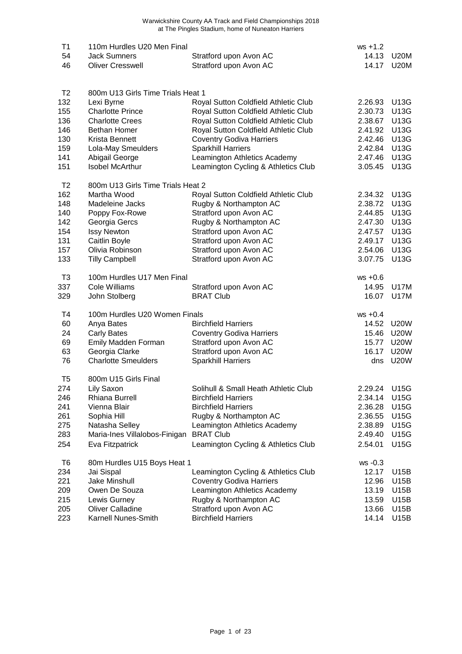| T1<br>54<br>46                                                         | 110m Hurdles U20 Men Final<br><b>Jack Sumners</b><br><b>Oliver Cresswell</b>                                                                                                                                    | Stratford upon Avon AC<br>Stratford upon Avon AC                                                                                                                                                                                                                                                    | $ws + 1.2$<br>14.13<br>14.17                                                         | <b>U20M</b><br><b>U20M</b>                                                               |
|------------------------------------------------------------------------|-----------------------------------------------------------------------------------------------------------------------------------------------------------------------------------------------------------------|-----------------------------------------------------------------------------------------------------------------------------------------------------------------------------------------------------------------------------------------------------------------------------------------------------|--------------------------------------------------------------------------------------|------------------------------------------------------------------------------------------|
| T <sub>2</sub><br>132<br>155<br>136<br>146<br>130<br>159<br>141<br>151 | 800m U13 Girls Time Trials Heat 1<br>Lexi Byrne<br><b>Charlotte Prince</b><br><b>Charlotte Crees</b><br><b>Bethan Homer</b><br>Krista Bennett<br>Lola-May Smeulders<br>Abigail George<br><b>Isobel McArthur</b> | Royal Sutton Coldfield Athletic Club<br>Royal Sutton Coldfield Athletic Club<br>Royal Sutton Coldfield Athletic Club<br>Royal Sutton Coldfield Athletic Club<br><b>Coventry Godiva Harriers</b><br><b>Sparkhill Harriers</b><br>Leamington Athletics Academy<br>Leamington Cycling & Athletics Club | 2.26.93<br>2.30.73<br>2.38.67<br>2.41.92<br>2.42.46<br>2.42.84<br>2.47.46<br>3.05.45 | <b>U13G</b><br>U13G<br>U13G<br><b>U13G</b><br><b>U13G</b><br><b>U13G</b><br>U13G<br>U13G |
| T <sub>2</sub><br>162<br>148<br>140<br>142<br>154<br>131<br>157<br>133 | 800m U13 Girls Time Trials Heat 2<br>Martha Wood<br>Madeleine Jacks<br>Poppy Fox-Rowe<br>Georgia Gercs<br><b>Issy Newton</b><br>Caitlin Boyle<br>Olivia Robinson<br><b>Tilly Campbell</b>                       | Royal Sutton Coldfield Athletic Club<br>Rugby & Northampton AC<br>Stratford upon Avon AC<br>Rugby & Northampton AC<br>Stratford upon Avon AC<br>Stratford upon Avon AC<br>Stratford upon Avon AC<br>Stratford upon Avon AC                                                                          | 2.34.32<br>2.38.72<br>2.44.85<br>2.47.30<br>2.47.57<br>2.49.17<br>2.54.06<br>3.07.75 | U13G<br>U13G<br>U13G<br><b>U13G</b><br><b>U13G</b><br>U13G<br><b>U13G</b><br><b>U13G</b> |
| T <sub>3</sub><br>337<br>329                                           | 100m Hurdles U17 Men Final<br>Cole Williams<br>John Stolberg                                                                                                                                                    | Stratford upon Avon AC<br><b>BRAT Club</b>                                                                                                                                                                                                                                                          | $ws +0.6$<br>14.95<br>16.07                                                          | U17M<br>U17M                                                                             |
| T4<br>60<br>24<br>69<br>63<br>76                                       | 100m Hurdles U20 Women Finals<br>Anya Bates<br><b>Carly Bates</b><br>Emily Madden Forman<br>Georgia Clarke<br><b>Charlotte Smeulders</b>                                                                        | <b>Birchfield Harriers</b><br><b>Coventry Godiva Harriers</b><br>Stratford upon Avon AC<br>Stratford upon Avon AC<br><b>Sparkhill Harriers</b>                                                                                                                                                      | $ws +0.4$<br>14.52<br>15.46<br>15.77<br>16.17<br>dns                                 | <b>U20W</b><br><b>U20W</b><br><b>U20W</b><br><b>U20W</b><br><b>U20W</b>                  |
| T5<br>274<br>246<br>241<br>261<br>275<br>283<br>254                    | 800m U15 Girls Final<br>Lily Saxon<br>Rhiana Burrell<br>Vienna Blair<br>Sophia Hill<br>Natasha Selley<br>Maria-Ines Villalobos-Finigan<br>Eva Fitzpatrick                                                       | Solihull & Small Heath Athletic Club<br><b>Birchfield Harriers</b><br><b>Birchfield Harriers</b><br>Rugby & Northampton AC<br>Leamington Athletics Academy<br><b>BRAT Club</b><br>Leamington Cycling & Athletics Club                                                                               | 2.29.24 U15G<br>2.34.14<br>2.36.28<br>2.36.55<br>2.38.89<br>2.49.40<br>2.54.01       | <b>U15G</b><br>U15G<br>U15G<br><b>U15G</b><br><b>U15G</b><br><b>U15G</b>                 |
| T <sub>6</sub><br>234<br>221<br>209<br>215<br>205<br>223               | 80m Hurdles U15 Boys Heat 1<br>Jai Sispal<br><b>Jake Minshull</b><br>Owen De Souza<br>Lewis Gurney<br><b>Oliver Calladine</b><br>Karnell Nunes-Smith                                                            | Leamington Cycling & Athletics Club<br><b>Coventry Godiva Harriers</b><br>Leamington Athletics Academy<br>Rugby & Northampton AC<br>Stratford upon Avon AC<br><b>Birchfield Harriers</b>                                                                                                            | ws -0.3<br>12.17<br>12.96<br>13.19<br>13.59<br>13.66<br>14.14                        | U15B<br>U15B<br>U15B<br>U15B<br>U15B<br>U15B                                             |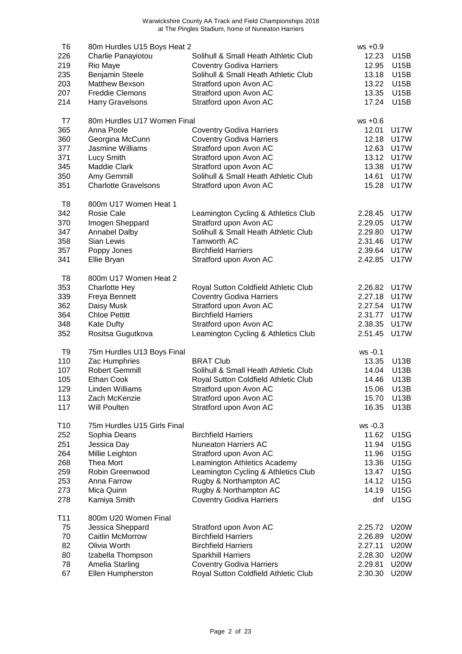| T6              | 80m Hurdles U15 Boys Heat 2 |                                      | $ws +0.9$      |                     |
|-----------------|-----------------------------|--------------------------------------|----------------|---------------------|
| 226             | Charlie Panayiotou          | Solihull & Small Heath Athletic Club | 12.23          | U15B                |
| 219             | Rio Maye                    | <b>Coventry Godiva Harriers</b>      | 12.95          | U15B                |
|                 |                             |                                      |                |                     |
| 235             | Benjamin Steele             | Solihull & Small Heath Athletic Club | 13.18<br>13.22 | U15B<br><b>U15B</b> |
| 203             | Matthew Bexson              | Stratford upon Avon AC               |                |                     |
| 207             | <b>Freddie Clemons</b>      | Stratford upon Avon AC               | 13.35          | U15B                |
| 214             | <b>Harry Gravelsons</b>     | Stratford upon Avon AC               | 17.24          | U15B                |
| T7              | 80m Hurdles U17 Women Final |                                      | $ws +0.6$      |                     |
| 365             | Anna Poole                  | <b>Coventry Godiva Harriers</b>      | 12.01          | <b>U17W</b>         |
| 360             | Georgina McCunn             | <b>Coventry Godiva Harriers</b>      | 12.18          | <b>U17W</b>         |
| 377             | Jasmine Williams            | Stratford upon Avon AC               | 12.63          | <b>U17W</b>         |
| 371             | Lucy Smith                  | Stratford upon Avon AC               | 13.12          | <b>U17W</b>         |
| 345             | <b>Maddie Clark</b>         | Stratford upon Avon AC               | 13.38          | <b>U17W</b>         |
| 350             | Amy Gemmill                 | Solihull & Small Heath Athletic Club | 14.61          | <b>U17W</b>         |
| 351             | <b>Charlotte Gravelsons</b> | Stratford upon Avon AC               | 15.28          | <b>U17W</b>         |
| T <sub>8</sub>  | 800m U17 Women Heat 1       |                                      |                |                     |
| 342             | <b>Rosie Cale</b>           | Leamington Cycling & Athletics Club  | 2.28.45        | <b>U17W</b>         |
| 370             |                             | Stratford upon Avon AC               |                | <b>U17W</b>         |
|                 | Imogen Sheppard             |                                      | 2.29.05        |                     |
| 347             | <b>Annabel Dalby</b>        | Solihull & Small Heath Athletic Club | 2.29.80        | <b>U17W</b>         |
| 358             | Sian Lewis                  | Tamworth AC                          | 2.31.46        | U17W                |
| 357             | Poppy Jones                 | <b>Birchfield Harriers</b>           | 2.39.64        | U17W                |
| 341             | Ellie Bryan                 | Stratford upon Avon AC               | 2.42.85        | <b>U17W</b>         |
| T8              | 800m U17 Women Heat 2       |                                      |                |                     |
| 353             | <b>Charlotte Hey</b>        | Royal Sutton Coldfield Athletic Club | 2.26.82        | <b>U17W</b>         |
| 339             | Freya Bennett               | <b>Coventry Godiva Harriers</b>      | 2.27.18        | <b>U17W</b>         |
| 362             | Daisy Musk                  | Stratford upon Avon AC               | 2.27.54        | <b>U17W</b>         |
| 364             | <b>Chloe Pettitt</b>        | <b>Birchfield Harriers</b>           | 2.31.77        | <b>U17W</b>         |
| 348             | Kate Dufty                  | Stratford upon Avon AC               | 2.38.35        | <b>U17W</b>         |
| 352             | Rositsa Gugutkova           | Leamington Cycling & Athletics Club  | 2.51.45        | <b>U17W</b>         |
| T9              | 75m Hurdles U13 Boys Final  |                                      | ws -0.1        |                     |
| 110             | Zac Humphries               | <b>BRAT Club</b>                     | 13.35          | U13B                |
| 107             | <b>Robert Gemmill</b>       | Solihull & Small Heath Athletic Club | 14.04          | U13B                |
| 105             | <b>Ethan Cook</b>           | Royal Sutton Coldfield Athletic Club | 14.46          | U13B                |
| 129             | Linden Williams             | Stratford upon Avon AC               | 15.06          | U13B                |
| 113             | Zach McKenzie               | Stratford upon Avon AC               | 15.70          | U13B                |
| 117             | Will Poulten                | Stratford upon Avon AC               | 16.35          | U13B                |
|                 |                             |                                      |                |                     |
| T <sub>10</sub> | 75m Hurdles U15 Girls Final |                                      | $ws -0.3$      |                     |
| 252             | Sophia Deans                | <b>Birchfield Harriers</b>           | 11.62          | U15G                |
| 251             | Jessica Day                 | <b>Nuneaton Harriers AC</b>          | 11.94          | U15G                |
| 264             | Millie Leighton             | Stratford upon Avon AC               | 11.96          | U15G                |
| 268             | Thea Mort                   | Leamington Athletics Academy         | 13.36          | U15G                |
| 259             | Robin Greenwood             | Leamington Cycling & Athletics Club  | 13.47          | U15G                |
| 253             | Anna Farrow                 | Rugby & Northampton AC               | 14.12          | <b>U15G</b>         |
| 273             | Mica Quinn                  | Rugby & Northampton AC               | 14.19          | <b>U15G</b>         |
| 278             | Kamiya Smith                | <b>Coventry Godiva Harriers</b>      | dnf            | <b>U15G</b>         |
| T11             | 800m U20 Women Final        |                                      |                |                     |
| 75              | Jessica Sheppard            | Stratford upon Avon AC               | 2.25.72        | <b>U20W</b>         |
| 70              | Caitlin McMorrow            | <b>Birchfield Harriers</b>           | 2.26.89        | <b>U20W</b>         |
| 82              | Olivia Worth                | <b>Birchfield Harriers</b>           | 2.27.11        | <b>U20W</b>         |
| 80              | Izabella Thompson           | <b>Sparkhill Harriers</b>            | 2.28.30        | <b>U20W</b>         |
| 78              | Amelia Starling             | <b>Coventry Godiva Harriers</b>      | 2.29.81        | <b>U20W</b>         |
| 67              | Ellen Humpherston           | Royal Sutton Coldfield Athletic Club | 2.30.30        | <b>U20W</b>         |
|                 |                             |                                      |                |                     |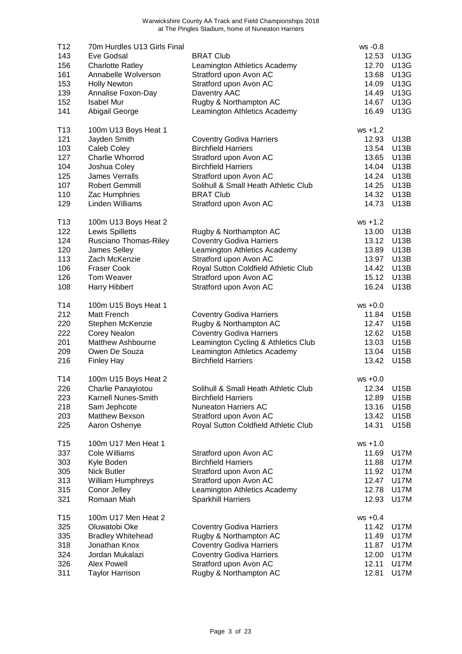| T12<br>143<br>156<br>161<br>153<br>139                                  | 70m Hurdles U13 Girls Final<br>Eve Godsal<br><b>Charlotte Ratley</b><br>Annabelle Wolverson<br><b>Holly Newton</b><br>Annalise Foxon-Day                                     | <b>BRAT Club</b><br>Leamington Athletics Academy<br>Stratford upon Avon AC<br>Stratford upon Avon AC<br>Daventry AAC                                                                                                                  | ws -0.8<br>12.53<br>12.70<br>13.68<br>14.09<br>14.49                               | U13G<br>U13G<br>U13G<br>U13G<br>U13G                                                     |
|-------------------------------------------------------------------------|------------------------------------------------------------------------------------------------------------------------------------------------------------------------------|---------------------------------------------------------------------------------------------------------------------------------------------------------------------------------------------------------------------------------------|------------------------------------------------------------------------------------|------------------------------------------------------------------------------------------|
| 152<br>141                                                              | <b>Isabel Mur</b><br>Abigail George                                                                                                                                          | Rugby & Northampton AC<br>Leamington Athletics Academy                                                                                                                                                                                | 14.67<br>16.49                                                                     | U13G<br>U13G                                                                             |
| T <sub>13</sub><br>121<br>103<br>127<br>104<br>125<br>107<br>110<br>129 | 100m U13 Boys Heat 1<br>Jayden Smith<br>Caleb Coley<br>Charlie Whorrod<br>Joshua Coley<br><b>James Verralls</b><br><b>Robert Gemmill</b><br>Zac Humphries<br>Linden Williams | <b>Coventry Godiva Harriers</b><br><b>Birchfield Harriers</b><br>Stratford upon Avon AC<br><b>Birchfield Harriers</b><br>Stratford upon Avon AC<br>Solihull & Small Heath Athletic Club<br><b>BRAT Club</b><br>Stratford upon Avon AC | $ws + 1.2$<br>12.93<br>13.54<br>13.65<br>14.04<br>14.24<br>14.25<br>14.32<br>14.73 | <b>U13B</b><br><b>U13B</b><br><b>U13B</b><br>U13B<br>U13B<br>U13B<br><b>U13B</b><br>U13B |
| T13<br>122<br>124<br>120<br>113<br>106<br>126<br>108                    | 100m U13 Boys Heat 2<br>Lewis Spilletts<br>Rusciano Thomas-Riley<br>James Selley<br>Zach McKenzie<br><b>Fraser Cook</b><br>Tom Weaver<br>Harry Hibbert                       | Rugby & Northampton AC<br><b>Coventry Godiva Harriers</b><br>Leamington Athletics Academy<br>Stratford upon Avon AC<br>Royal Sutton Coldfield Athletic Club<br>Stratford upon Avon AC<br>Stratford upon Avon AC                       | $ws + 1.2$<br>13.00<br>13.12<br>13.89<br>13.97<br>14.42<br>15.12<br>16.24          | U13B<br>U13B<br><b>U13B</b><br><b>U13B</b><br><b>U13B</b><br><b>U13B</b><br><b>U13B</b>  |
| T14<br>212<br>220<br>222<br>201<br>209<br>216                           | 100m U15 Boys Heat 1<br>Matt French<br>Stephen McKenzie<br>Corey Nealon<br>Matthew Ashbourne<br>Owen De Souza<br><b>Finley Hay</b>                                           | <b>Coventry Godiva Harriers</b><br>Rugby & Northampton AC<br><b>Coventry Godiva Harriers</b><br>Leamington Cycling & Athletics Club<br>Leamington Athletics Academy<br><b>Birchfield Harriers</b>                                     | $ws +0.0$<br>11.84<br>12.47<br>12.62<br>13.03<br>13.04<br>13.42                    | U15B<br>U15B<br><b>U15B</b><br><b>U15B</b><br>U15B<br><b>U15B</b>                        |
| T14<br>226<br>223<br>218<br>203<br>225                                  | 100m U15 Boys Heat 2<br>Charlie Panayiotou<br>Karnell Nunes-Smith<br>Sam Jephcote<br><b>Matthew Bexson</b><br>Aaron Oshenye                                                  | Solihull & Small Heath Athletic Club<br><b>Birchfield Harriers</b><br><b>Nuneaton Harriers AC</b><br>Stratford upon Avon AC<br>Royal Sutton Coldfield Athletic Club                                                                   | $ws +0.0$<br>12.89<br>13.16<br>13.42<br>14.31                                      | 12.34 U15B<br>U15B<br>U15B<br>U15B<br>U15B                                               |
| T15<br>337<br>303<br>305<br>313<br>315<br>321                           | 100m U17 Men Heat 1<br>Cole Williams<br>Kyle Boden<br>Nick Butler<br><b>William Humphreys</b><br>Conor Jelley<br>Romaan Miah                                                 | Stratford upon Avon AC<br><b>Birchfield Harriers</b><br>Stratford upon Avon AC<br>Stratford upon Avon AC<br>Leamington Athletics Academy<br><b>Sparkhill Harriers</b>                                                                 | $ws + 1.0$<br>11.69<br>11.88<br>11.92<br>12.47<br>12.78<br>12.93                   | U17M<br><b>U17M</b><br>U17M<br>U17M<br>U17M<br><b>U17M</b>                               |
| T <sub>15</sub><br>325<br>335<br>318<br>324<br>326<br>311               | 100m U17 Men Heat 2<br>Oluwatobi Oke<br><b>Bradley Whitehead</b><br>Jonathan Knox<br>Jordan Mukalazi<br>Alex Powell<br><b>Taylor Harrison</b>                                | <b>Coventry Godiva Harriers</b><br>Rugby & Northampton AC<br><b>Coventry Godiva Harriers</b><br><b>Coventry Godiva Harriers</b><br>Stratford upon Avon AC<br>Rugby & Northampton AC                                                   | $ws +0.4$<br>11.42<br>11.49<br>11.87<br>12.00<br>12.11<br>12.81                    | U17M<br>U17M<br>U17M<br><b>U17M</b><br>U17M<br><b>U17M</b>                               |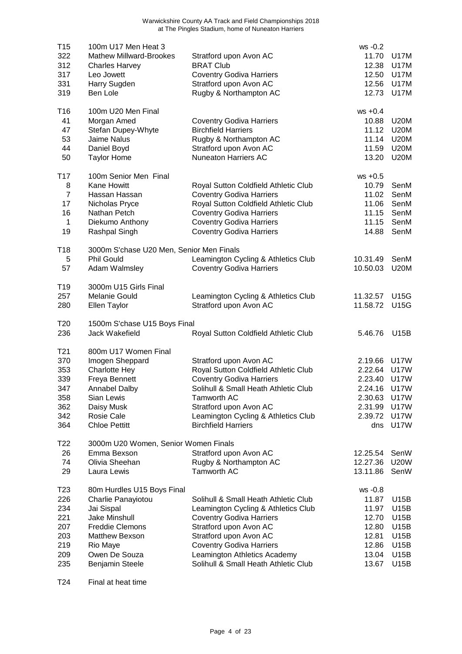| T <sub>15</sub><br>322<br>312<br>317 | 100m U17 Men Heat 3<br><b>Mathew Millward-Brookes</b><br><b>Charles Harvey</b><br>Leo Jowett | Stratford upon Avon AC<br><b>BRAT Club</b><br><b>Coventry Godiva Harriers</b> | ws -0.2<br>11.70<br>12.38<br>12.50 | <b>U17M</b><br><b>U17M</b><br><b>U17M</b> |
|--------------------------------------|----------------------------------------------------------------------------------------------|-------------------------------------------------------------------------------|------------------------------------|-------------------------------------------|
| 331                                  | Harry Sugden                                                                                 | Stratford upon Avon AC                                                        | 12.56                              | <b>U17M</b>                               |
| 319                                  | Ben Lole                                                                                     | Rugby & Northampton AC                                                        | 12.73                              | <b>U17M</b>                               |
| T <sub>16</sub>                      | 100m U20 Men Final                                                                           |                                                                               | $ws +0.4$                          |                                           |
| 41                                   | Morgan Amed                                                                                  | <b>Coventry Godiva Harriers</b>                                               | 10.88                              | <b>U20M</b>                               |
| 47                                   | Stefan Dupey-Whyte                                                                           | <b>Birchfield Harriers</b>                                                    | 11.12                              | <b>U20M</b>                               |
| 53                                   | Jaime Nalus                                                                                  | Rugby & Northampton AC                                                        | 11.14                              | <b>U20M</b>                               |
| 44                                   | Daniel Boyd                                                                                  | Stratford upon Avon AC                                                        | 11.59                              | <b>U20M</b>                               |
| 50                                   | <b>Taylor Home</b>                                                                           | <b>Nuneaton Harriers AC</b>                                                   | 13.20                              | <b>U20M</b>                               |
| T <sub>17</sub>                      | 100m Senior Men Final                                                                        |                                                                               | $ws + 0.5$                         |                                           |
| 8                                    | Kane Howitt                                                                                  | Royal Sutton Coldfield Athletic Club                                          | 10.79                              | SenM                                      |
| 7                                    | Hassan Hassan                                                                                | <b>Coventry Godiva Harriers</b>                                               | 11.02                              | SenM                                      |
| 17                                   | Nicholas Pryce                                                                               | Royal Sutton Coldfield Athletic Club                                          | 11.06                              | SenM                                      |
| 16                                   | Nathan Petch                                                                                 | <b>Coventry Godiva Harriers</b>                                               | 11.15                              | SenM                                      |
| $\mathbf{1}$                         | Diekumo Anthony                                                                              | <b>Coventry Godiva Harriers</b>                                               | 11.15                              | SenM                                      |
| 19                                   | Rashpal Singh                                                                                | <b>Coventry Godiva Harriers</b>                                               | 14.88                              | SenM                                      |
| T <sub>18</sub>                      | 3000m S'chase U20 Men, Senior Men Finals                                                     |                                                                               |                                    |                                           |
| 5                                    | <b>Phil Gould</b>                                                                            | Leamington Cycling & Athletics Club                                           | 10.31.49                           | SenM                                      |
| 57                                   | Adam Walmsley                                                                                | <b>Coventry Godiva Harriers</b>                                               | 10.50.03                           | <b>U20M</b>                               |
| T <sub>19</sub>                      | 3000m U15 Girls Final                                                                        |                                                                               |                                    |                                           |
| 257                                  | Melanie Gould                                                                                | Leamington Cycling & Athletics Club                                           | 11.32.57                           | <b>U15G</b>                               |
| 280                                  | <b>Ellen Taylor</b>                                                                          | Stratford upon Avon AC                                                        | 11.58.72                           | <b>U15G</b>                               |
| T <sub>20</sub>                      | 1500m S'chase U15 Boys Final                                                                 |                                                                               |                                    |                                           |
| 236                                  | Jack Wakefield                                                                               | Royal Sutton Coldfield Athletic Club                                          | 5.46.76                            | U15B                                      |
| T <sub>21</sub>                      | 800m U17 Women Final                                                                         |                                                                               |                                    |                                           |
| 370                                  | Imogen Sheppard                                                                              | Stratford upon Avon AC                                                        | 2.19.66                            | <b>U17W</b>                               |
| 353                                  | <b>Charlotte Hey</b>                                                                         | Royal Sutton Coldfield Athletic Club                                          | 2.22.64                            | <b>U17W</b>                               |
| 339                                  | Freya Bennett                                                                                | <b>Coventry Godiva Harriers</b>                                               | 2.23.40                            | <b>U17W</b>                               |
| 347                                  | <b>Annabel Dalby</b>                                                                         | Solihull & Small Heath Athletic Club                                          | 2.24.16 U17W                       |                                           |
| 358                                  | Sian Lewis                                                                                   | Tamworth AC                                                                   | 2.30.63 U17W                       |                                           |
| 362                                  | Daisy Musk                                                                                   | Stratford upon Avon AC                                                        | 2.31.99                            | U17W                                      |
| 342<br>364                           | Rosie Cale<br><b>Chloe Pettitt</b>                                                           | Leamington Cycling & Athletics Club<br><b>Birchfield Harriers</b>             | 2.39.72<br>dns                     | U17W<br><b>U17W</b>                       |
|                                      |                                                                                              |                                                                               |                                    |                                           |
| T22                                  | 3000m U20 Women, Senior Women Finals                                                         |                                                                               |                                    |                                           |
| 26                                   | Emma Bexson                                                                                  | Stratford upon Avon AC                                                        | 12.25.54                           | SenW                                      |
| 74                                   | Olivia Sheehan                                                                               | Rugby & Northampton AC                                                        | 12.27.36                           | <b>U20W</b>                               |
| 29                                   | Laura Lewis                                                                                  | Tamworth AC                                                                   | 13.11.86                           | SenW                                      |
| T <sub>23</sub>                      | 80m Hurdles U15 Boys Final                                                                   |                                                                               | ws -0.8                            |                                           |
| 226                                  | Charlie Panayiotou                                                                           | Solihull & Small Heath Athletic Club                                          | 11.87                              | U15B                                      |
| 234                                  | Jai Sispal                                                                                   | Leamington Cycling & Athletics Club                                           | 11.97                              | U15B                                      |
| 221                                  | <b>Jake Minshull</b>                                                                         | <b>Coventry Godiva Harriers</b>                                               | 12.70                              | U15B                                      |
| 207<br>203                           | <b>Freddie Clemons</b><br>Matthew Bexson                                                     | Stratford upon Avon AC<br>Stratford upon Avon AC                              | 12.80<br>12.81                     | U15B<br>U15B                              |
| 219                                  | Rio Maye                                                                                     | <b>Coventry Godiva Harriers</b>                                               | 12.86                              | U15B                                      |
| 209                                  | Owen De Souza                                                                                | Leamington Athletics Academy                                                  | 13.04                              | U15B                                      |
| 235                                  | <b>Benjamin Steele</b>                                                                       | Solihull & Small Heath Athletic Club                                          | 13.67                              | U15B                                      |
|                                      |                                                                                              |                                                                               |                                    |                                           |

T24 Final at heat time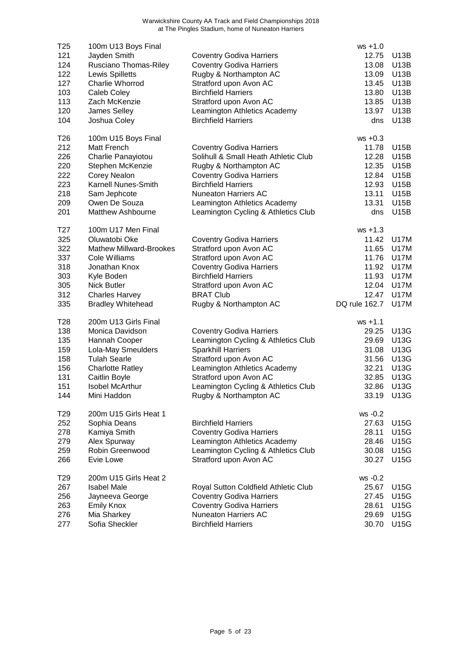| T <sub>25</sub><br>121<br>124<br>122<br>127<br>103<br>113<br>120<br>104 | 100m U13 Boys Final<br>Jayden Smith<br>Rusciano Thomas-Riley<br>Lewis Spilletts<br>Charlie Whorrod<br>Caleb Coley<br>Zach McKenzie<br>James Selley<br>Joshua Coley                               | <b>Coventry Godiva Harriers</b><br><b>Coventry Godiva Harriers</b><br>Rugby & Northampton AC<br>Stratford upon Avon AC<br><b>Birchfield Harriers</b><br>Stratford upon Avon AC<br>Leamington Athletics Academy<br><b>Birchfield Harriers</b>                      | $ws + 1.0$<br>12.75<br>13.08<br>13.09<br>13.45<br>13.80<br>13.85<br>13.97<br>dns           | U13B<br>U13B<br>U <sub>13</sub> B<br><b>U13B</b><br>U13B<br><b>U13B</b><br>U13B<br>U13B                              |
|-------------------------------------------------------------------------|--------------------------------------------------------------------------------------------------------------------------------------------------------------------------------------------------|-------------------------------------------------------------------------------------------------------------------------------------------------------------------------------------------------------------------------------------------------------------------|--------------------------------------------------------------------------------------------|----------------------------------------------------------------------------------------------------------------------|
| T <sub>26</sub><br>212<br>226<br>220<br>222<br>223<br>218<br>209<br>201 | 100m U15 Boys Final<br>Matt French<br>Charlie Panayiotou<br>Stephen McKenzie<br>Corey Nealon<br>Karnell Nunes-Smith<br>Sam Jephcote<br>Owen De Souza<br><b>Matthew Ashbourne</b>                 | <b>Coventry Godiva Harriers</b><br>Solihull & Small Heath Athletic Club<br>Rugby & Northampton AC<br><b>Coventry Godiva Harriers</b><br><b>Birchfield Harriers</b><br>Nuneaton Harriers AC<br>Leamington Athletics Academy<br>Leamington Cycling & Athletics Club | $ws +0.3$<br>11.78<br>12.28<br>12.35<br>12.84<br>12.93<br>13.11<br>13.31<br>dns            | U15B<br>U15B<br>U15B<br>U15B<br>U15B<br>U15B<br>U15B<br>U15B                                                         |
| T27<br>325<br>322<br>337<br>318<br>303<br>305<br>312<br>335             | 100m U17 Men Final<br>Oluwatobi Oke<br><b>Mathew Millward-Brookes</b><br>Cole Williams<br>Jonathan Knox<br>Kyle Boden<br><b>Nick Butler</b><br><b>Charles Harvey</b><br><b>Bradley Whitehead</b> | <b>Coventry Godiva Harriers</b><br>Stratford upon Avon AC<br>Stratford upon Avon AC<br><b>Coventry Godiva Harriers</b><br><b>Birchfield Harriers</b><br>Stratford upon Avon AC<br><b>BRAT Club</b><br>Rugby & Northampton AC                                      | $ws + 1.3$<br>11.42<br>11.65<br>11.76<br>11.92<br>11.93<br>12.04<br>12.47<br>DQ rule 162.7 | <b>U17M</b><br><b>U17M</b><br><b>U17M</b><br><b>U17M</b><br><b>U17M</b><br><b>U17M</b><br><b>U17M</b><br><b>U17M</b> |
| T28<br>138<br>135<br>159<br>158<br>156<br>131<br>151<br>144             | 200m U13 Girls Final<br>Monica Davidson<br>Hannah Cooper<br>Lola-May Smeulders<br><b>Tulah Searle</b><br><b>Charlotte Ratley</b><br>Caitlin Boyle<br><b>Isobel McArthur</b><br>Mini Haddon       | <b>Coventry Godiva Harriers</b><br>Leamington Cycling & Athletics Club<br><b>Sparkhill Harriers</b><br>Stratford upon Avon AC<br>Leamington Athletics Academy<br>Stratford upon Avon AC<br>Leamington Cycling & Athletics Club<br>Rugby & Northampton AC          | $ws + 1.1$<br>29.25<br>29.69<br>31.08<br>31.56<br>32.21<br>32.85<br>32.86<br>33.19         | U13G<br>U13G<br>U13G<br>U13G<br>U13G<br><b>U13G</b><br>U13G<br>U13G                                                  |
| T <sub>29</sub><br>252<br>278<br>279<br>259<br>266                      | 200m U15 Girls Heat 1<br>Sophia Deans<br>Kamiya Smith<br>Alex Spurway<br>Robin Greenwood<br>Evie Lowe                                                                                            | <b>Birchfield Harriers</b><br><b>Coventry Godiva Harriers</b><br>Leamington Athletics Academy<br>Leamington Cycling & Athletics Club<br>Stratford upon Avon AC                                                                                                    | ws -0.2<br>27.63<br>28.11<br>28.46<br>30.08<br>30.27                                       | U15G<br>U15G<br>U15G<br>U15G<br><b>U15G</b>                                                                          |
| T <sub>29</sub><br>267<br>256<br>263<br>276<br>277                      | 200m U15 Girls Heat 2<br><b>Isabel Male</b><br>Jayneeva George<br><b>Emily Knox</b><br>Mia Sharkey<br>Sofia Sheckler                                                                             | Royal Sutton Coldfield Athletic Club<br><b>Coventry Godiva Harriers</b><br><b>Coventry Godiva Harriers</b><br>Nuneaton Harriers AC<br><b>Birchfield Harriers</b>                                                                                                  | ws -0.2<br>25.67<br>27.45<br>28.61<br>29.69<br>30.70                                       | U15G<br>U15G<br>U15G<br>U15G<br><b>U15G</b>                                                                          |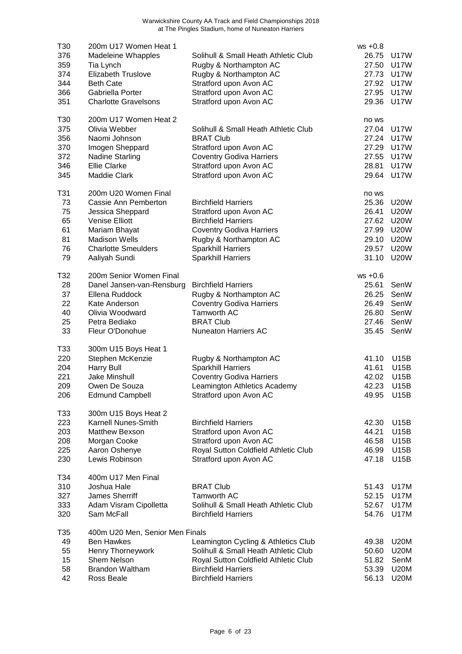| T30<br>376 | 200m U17 Women Heat 1<br><b>Madeleine Whapples</b> | Solihull & Small Heath Athletic Club                               | $ws +0.8$<br>26.75 | U17W                |
|------------|----------------------------------------------------|--------------------------------------------------------------------|--------------------|---------------------|
| 359        | Tia Lynch                                          | Rugby & Northampton AC                                             | 27.50              | <b>U17W</b>         |
| 374        | <b>Elizabeth Truslove</b>                          | Rugby & Northampton AC                                             | 27.73              | U17W                |
| 344        | <b>Beth Cate</b>                                   | Stratford upon Avon AC                                             | 27.92              | U17W                |
| 366        | Gabriella Porter                                   | Stratford upon Avon AC                                             | 27.95              | U17W                |
| 351        | <b>Charlotte Gravelsons</b>                        | Stratford upon Avon AC                                             | 29.36              | <b>U17W</b>         |
| T30        | 200m U17 Women Heat 2                              |                                                                    | no ws              |                     |
| 375        | Olivia Webber                                      | Solihull & Small Heath Athletic Club                               | 27.04              | <b>U17W</b>         |
| 356        | Naomi Johnson                                      | <b>BRAT Club</b>                                                   | 27.24<br>27.29     | U17W<br><b>U17W</b> |
| 370<br>372 | Imogen Sheppard<br><b>Nadine Starling</b>          | Stratford upon Avon AC<br><b>Coventry Godiva Harriers</b>          | 27.55              | <b>U17W</b>         |
| 346        | <b>Ellie Clarke</b>                                | Stratford upon Avon AC                                             | 28.81              | <b>U17W</b>         |
| 345        | <b>Maddie Clark</b>                                | Stratford upon Avon AC                                             | 29.64              | U17W                |
|            |                                                    |                                                                    |                    |                     |
| T31<br>73  | 200m U20 Women Final<br>Cassie Ann Pemberton       | <b>Birchfield Harriers</b>                                         | no ws<br>25.36     | <b>U20W</b>         |
| 75         | Jessica Sheppard                                   | Stratford upon Avon AC                                             | 26.41              | <b>U20W</b>         |
| 65         | <b>Venise Elliott</b>                              | <b>Birchfield Harriers</b>                                         | 27.62              | <b>U20W</b>         |
| 61         | Mariam Bhayat                                      | <b>Coventry Godiva Harriers</b>                                    | 27.99              | <b>U20W</b>         |
| 81         | <b>Madison Wells</b>                               | Rugby & Northampton AC                                             | 29.10              | <b>U20W</b>         |
| 76         | <b>Charlotte Smeulders</b>                         | <b>Sparkhill Harriers</b>                                          | 29.57              | <b>U20W</b>         |
| 79         | Aaliyah Sundi                                      | <b>Sparkhill Harriers</b>                                          | 31.10              | <b>U20W</b>         |
| T32        | 200m Senior Women Final                            |                                                                    | $ws +0.6$          |                     |
| 28         | Danel Jansen-van-Rensburg                          | <b>Birchfield Harriers</b>                                         | 25.61              | SenW                |
| 37         | Ellena Ruddock                                     | Rugby & Northampton AC                                             | 26.25              | SenW                |
| 22         | Kate Anderson                                      | <b>Coventry Godiva Harriers</b>                                    | 26.49              | SenW                |
| 40         | Olivia Woodward                                    | <b>Tamworth AC</b>                                                 | 26.80              | SenW                |
| 25<br>33   | Petra Bediako<br>Fleur O'Donohue                   | <b>BRAT Club</b><br><b>Nuneaton Harriers AC</b>                    | 27.46<br>35.45     | SenW<br>SenW        |
|            |                                                    |                                                                    |                    |                     |
| T33        | 300m U15 Boys Heat 1                               |                                                                    |                    |                     |
| 220        | Stephen McKenzie                                   | Rugby & Northampton AC                                             | 41.10              | <b>U15B</b>         |
| 204        | <b>Harry Bull</b>                                  | <b>Sparkhill Harriers</b>                                          | 41.61<br>42.02     | U15B                |
| 221<br>209 | Jake Minshull<br>Owen De Souza                     | <b>Coventry Godiva Harriers</b><br>Leamington Athletics Academy    | 42.23              | U15B<br>U15B        |
| 206        | <b>Edmund Campbell</b>                             | Stratford upon Avon AC                                             | 49.95              | U15B                |
|            |                                                    |                                                                    |                    |                     |
| T33        | 300m U15 Boys Heat 2                               |                                                                    |                    |                     |
| 223<br>203 | Karnell Nunes-Smith<br>Matthew Bexson              | <b>Birchfield Harriers</b><br>Stratford upon Avon AC               | 42.30<br>44.21     | U15B<br>U15B        |
| 208        | Morgan Cooke                                       | Stratford upon Avon AC                                             | 46.58              | U15B                |
| 225        | Aaron Oshenye                                      | Royal Sutton Coldfield Athletic Club                               | 46.99              | U15B                |
| 230        | Lewis Robinson                                     | Stratford upon Avon AC                                             | 47.18              | U15B                |
| T34        | 400m U17 Men Final                                 |                                                                    |                    |                     |
| 310        | Joshua Hale                                        | <b>BRAT Club</b>                                                   | 51.43              | <b>U17M</b>         |
| 327        | James Sherriff                                     | <b>Tamworth AC</b>                                                 | 52.15              | <b>U17M</b>         |
| 333        | Adam Visram Cipolletta                             | Solihull & Small Heath Athletic Club                               | 52.67              | <b>U17M</b>         |
| 320        | Sam McFall                                         | <b>Birchfield Harriers</b>                                         | 54.76              | U17M                |
| T35        | 400m U20 Men, Senior Men Finals                    |                                                                    |                    |                     |
| 49         | <b>Ben Hawkes</b>                                  | Leamington Cycling & Athletics Club                                | 49.38              | <b>U20M</b>         |
| 55         | Henry Thorneywork<br>Shem Nelson                   | Solihull & Small Heath Athletic Club                               | 50.60              | <b>U20M</b>         |
| 15<br>58   | <b>Brandon Waltham</b>                             | Royal Sutton Coldfield Athletic Club<br><b>Birchfield Harriers</b> | 51.82<br>53.39     | SenM<br><b>U20M</b> |
| 42         | Ross Beale                                         | <b>Birchfield Harriers</b>                                         | 56.13              | <b>U20M</b>         |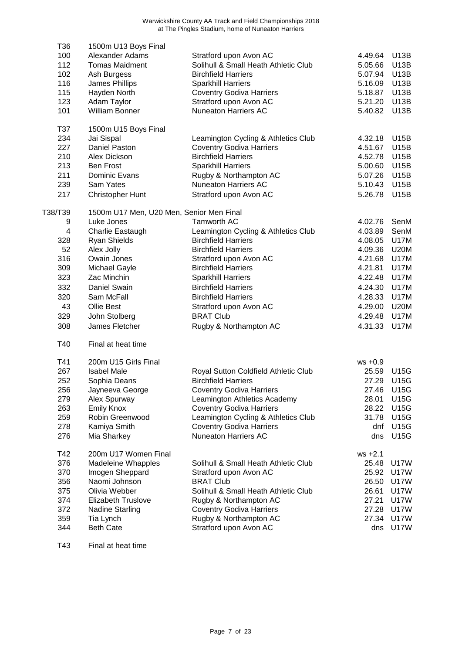| T36                     | 1500m U13 Boys Final                     |                                            |                |                            |
|-------------------------|------------------------------------------|--------------------------------------------|----------------|----------------------------|
| 100                     | Alexander Adams                          | Stratford upon Avon AC                     | 4.49.64        | U13B                       |
| 112                     | <b>Tomas Maidment</b>                    | Solihull & Small Heath Athletic Club       | 5.05.66        | <b>U13B</b>                |
| 102                     | Ash Burgess                              | <b>Birchfield Harriers</b>                 | 5.07.94        | U13B                       |
| 116                     | James Phillips                           | <b>Sparkhill Harriers</b>                  | 5.16.09        | <b>U13B</b>                |
| 115                     | Hayden North                             | <b>Coventry Godiva Harriers</b>            | 5.18.87        | U13B                       |
| 123                     | Adam Taylor                              | Stratford upon Avon AC                     | 5.21.20        | U13B                       |
| 101                     | William Bonner                           | <b>Nuneaton Harriers AC</b>                | 5.40.82        | <b>U13B</b>                |
| T37                     | 1500m U15 Boys Final                     |                                            |                |                            |
| 234                     | Jai Sispal                               | Leamington Cycling & Athletics Club        | 4.32.18        | U15B                       |
| 227                     | Daniel Paston                            | <b>Coventry Godiva Harriers</b>            | 4.51.67        | U15B                       |
| 210                     | Alex Dickson                             | <b>Birchfield Harriers</b>                 | 4.52.78        | U15B                       |
| 213                     | <b>Ben Frost</b>                         | <b>Sparkhill Harriers</b>                  | 5.00.60        | U15B                       |
| 211                     | Dominic Evans                            | Rugby & Northampton AC                     | 5.07.26        | U15B                       |
| 239                     | Sam Yates                                | <b>Nuneaton Harriers AC</b>                | 5.10.43        | U15B                       |
| 217                     | Christopher Hunt                         | Stratford upon Avon AC                     | 5.26.78        | <b>U15B</b>                |
|                         |                                          |                                            |                |                            |
| T38/T39                 | 1500m U17 Men, U20 Men, Senior Men Final |                                            |                |                            |
| 9                       | Luke Jones                               | <b>Tamworth AC</b>                         | 4.02.76        | SenM                       |
| $\overline{\mathbf{4}}$ | Charlie Eastaugh                         | Leamington Cycling & Athletics Club        | 4.03.89        | SenM                       |
| 328                     | <b>Ryan Shields</b>                      | <b>Birchfield Harriers</b>                 | 4.08.05        | <b>U17M</b>                |
| 52                      | Alex Jolly                               | <b>Birchfield Harriers</b>                 | 4.09.36        | <b>U20M</b>                |
| 316                     | Owain Jones                              | Stratford upon Avon AC                     | 4.21.68        | <b>U17M</b>                |
| 309                     | Michael Gayle                            | <b>Birchfield Harriers</b>                 | 4.21.81        | <b>U17M</b>                |
| 323                     | Zac Minchin                              | <b>Sparkhill Harriers</b>                  | 4.22.48        | <b>U17M</b>                |
| 332                     | Daniel Swain                             | <b>Birchfield Harriers</b>                 | 4.24.30        | <b>U17M</b>                |
| 320                     | Sam McFall                               | <b>Birchfield Harriers</b>                 | 4.28.33        | <b>U17M</b>                |
| 43                      | Ollie Best                               | Stratford upon Avon AC                     | 4.29.00        | <b>U20M</b>                |
| 329                     | John Stolberg                            | <b>BRAT Club</b>                           | 4.29.48        | <b>U17M</b>                |
| 308                     | James Fletcher                           | Rugby & Northampton AC                     | 4.31.33        | <b>U17M</b>                |
| T40                     | Final at heat time                       |                                            |                |                            |
| T41                     | 200m U15 Girls Final                     |                                            | $ws +0.9$      |                            |
| 267                     | <b>Isabel Male</b>                       | Royal Sutton Coldfield Athletic Club       | 25.59          | <b>U15G</b>                |
| 252                     | Sophia Deans                             | <b>Birchfield Harriers</b>                 | 27.29          | U15G                       |
| 256                     | Jayneeva George                          | <b>Coventry Godiva Harriers</b>            |                | 27.46 U15G                 |
| 279                     | Alex Spurway                             | Leamington Athletics Academy               | 28.01          | U15G                       |
| 263                     | <b>Emily Knox</b>                        | <b>Coventry Godiva Harriers</b>            | 28.22          | U15G                       |
| 259                     | Robin Greenwood                          | Leamington Cycling & Athletics Club        | 31.78          | U15G                       |
| 278                     | Kamiya Smith                             | <b>Coventry Godiva Harriers</b>            | dnf            | <b>U15G</b>                |
| 276                     | Mia Sharkey                              | <b>Nuneaton Harriers AC</b>                | dns            | U15G                       |
| T42                     | 200m U17 Women Final                     |                                            | $ws + 2.1$     |                            |
| 376                     | <b>Madeleine Whapples</b>                | Solihull & Small Heath Athletic Club       | 25.48          | U17W                       |
| 370                     |                                          |                                            | 25.92          | U17W                       |
| 356                     | Imogen Sheppard<br>Naomi Johnson         | Stratford upon Avon AC<br><b>BRAT Club</b> | 26.50          | <b>U17W</b>                |
|                         | Olivia Webber                            |                                            | 26.61          | <b>U17W</b>                |
| 375                     |                                          | Solihull & Small Heath Athletic Club       |                |                            |
| 374<br>372              | <b>Elizabeth Truslove</b>                | Rugby & Northampton AC                     | 27.21<br>27.28 | <b>U17W</b><br><b>U17W</b> |
|                         | <b>Nadine Starling</b>                   | <b>Coventry Godiva Harriers</b>            |                |                            |
| 359                     | Tia Lynch                                | Rugby & Northampton AC                     | 27.34          | <b>U17W</b><br><b>U17W</b> |
| 344                     | <b>Beth Cate</b>                         | Stratford upon Avon AC                     | dns            |                            |

T43 Final at heat time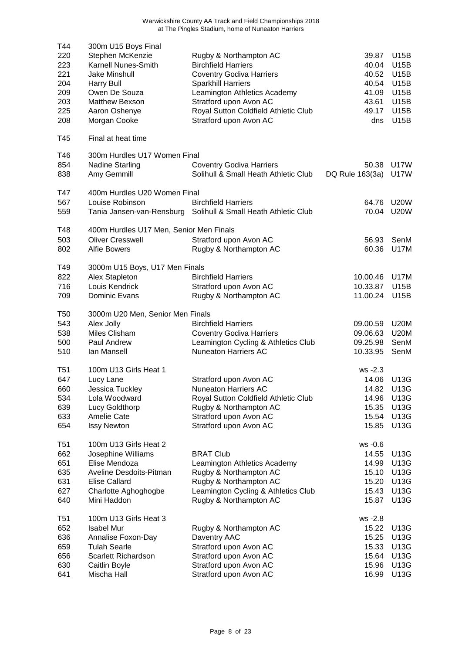| T44<br>220<br>223<br>221<br>204<br>209<br>203<br>225<br>208 | 300m U15 Boys Final<br>Stephen McKenzie<br>Karnell Nunes-Smith<br>Jake Minshull<br><b>Harry Bull</b><br>Owen De Souza<br>Matthew Bexson<br>Aaron Oshenye<br>Morgan Cooke | Rugby & Northampton AC<br><b>Birchfield Harriers</b><br><b>Coventry Godiva Harriers</b><br><b>Sparkhill Harriers</b><br>Leamington Athletics Academy<br>Stratford upon Avon AC<br>Royal Sutton Coldfield Athletic Club<br>Stratford upon Avon AC | 39.87<br>40.04<br>40.52<br>40.54<br>41.09<br>43.61<br>49.17<br>dns | U15B<br>U15B<br><b>U15B</b><br><b>U15B</b><br>U15B<br>U15B<br><b>U15B</b><br>U15B |
|-------------------------------------------------------------|--------------------------------------------------------------------------------------------------------------------------------------------------------------------------|--------------------------------------------------------------------------------------------------------------------------------------------------------------------------------------------------------------------------------------------------|--------------------------------------------------------------------|-----------------------------------------------------------------------------------|
| T45                                                         | Final at heat time                                                                                                                                                       |                                                                                                                                                                                                                                                  |                                                                    |                                                                                   |
| T46<br>854<br>838                                           | 300m Hurdles U17 Women Final<br><b>Nadine Starling</b><br>Amy Gemmill                                                                                                    | <b>Coventry Godiva Harriers</b><br>Solihull & Small Heath Athletic Club                                                                                                                                                                          | 50.38<br>DQ Rule 163(3a)                                           | <b>U17W</b><br><b>U17W</b>                                                        |
| T47<br>567<br>559                                           | 400m Hurdles U20 Women Final<br>Louise Robinson                                                                                                                          | <b>Birchfield Harriers</b><br>Tania Jansen-van-Rensburg Solihull & Small Heath Athletic Club                                                                                                                                                     | 64.76<br>70.04                                                     | <b>U20W</b><br><b>U20W</b>                                                        |
| T48<br>503<br>802                                           | 400m Hurdles U17 Men, Senior Men Finals<br><b>Oliver Cresswell</b><br><b>Alfie Bowers</b>                                                                                | Stratford upon Avon AC<br>Rugby & Northampton AC                                                                                                                                                                                                 | 56.93<br>60.36                                                     | SenM<br><b>U17M</b>                                                               |
| T49<br>822<br>716<br>709                                    | 3000m U15 Boys, U17 Men Finals<br>Alex Stapleton<br>Louis Kendrick<br>Dominic Evans                                                                                      | <b>Birchfield Harriers</b><br>Stratford upon Avon AC<br>Rugby & Northampton AC                                                                                                                                                                   | 10.00.46<br>10.33.87<br>11.00.24                                   | <b>U17M</b><br>U15B<br>U15B                                                       |
| T <sub>50</sub><br>543<br>538<br>500<br>510                 | 3000m U20 Men, Senior Men Finals<br>Alex Jolly<br>Miles Clisham<br>Paul Andrew<br>lan Mansell                                                                            | <b>Birchfield Harriers</b><br><b>Coventry Godiva Harriers</b><br>Leamington Cycling & Athletics Club<br><b>Nuneaton Harriers AC</b>                                                                                                              | 09.00.59<br>09.06.63<br>09.25.98<br>10.33.95                       | <b>U20M</b><br><b>U20M</b><br>SenM<br>SenM                                        |
| T51<br>647<br>660<br>534<br>639<br>633<br>654               | 100m U13 Girls Heat 1<br>Lucy Lane<br>Jessica Tuckley<br>Lola Woodward<br>Lucy Goldthorp<br>Amelie Cate<br><b>Issy Newton</b>                                            | Stratford upon Avon AC<br><b>Nuneaton Harriers AC</b><br>Royal Sutton Coldfield Athletic Club<br>Rugby & Northampton AC<br>Stratford upon Avon AC<br>Stratford upon Avon AC                                                                      | $ws -2.3$<br>14.06<br>14.82<br>14.96<br>15.35<br>15.54<br>15.85    | U13G<br>U13G<br><b>U13G</b><br>U13G<br>U13G<br><b>U13G</b>                        |
| T <sub>51</sub><br>662<br>651<br>635<br>631<br>627<br>640   | 100m U13 Girls Heat 2<br>Josephine Williams<br>Elise Mendoza<br>Aveline Desdoits-Pitman<br><b>Elise Callard</b><br>Charlotte Aghoghogbe<br>Mini Haddon                   | <b>BRAT Club</b><br>Leamington Athletics Academy<br>Rugby & Northampton AC<br>Rugby & Northampton AC<br>Leamington Cycling & Athletics Club<br>Rugby & Northampton AC                                                                            | ws -0.6<br>14.55<br>14.99<br>15.10<br>15.20<br>15.43<br>15.87      | U13G<br>U13G<br>U13G<br>U13G<br>U13G<br>U13G                                      |
| T51<br>652<br>636<br>659<br>656<br>630<br>641               | 100m U13 Girls Heat 3<br><b>Isabel Mur</b><br>Annalise Foxon-Day<br><b>Tulah Searle</b><br>Scarlett Richardson<br>Caitlin Boyle<br>Mischa Hall                           | Rugby & Northampton AC<br>Daventry AAC<br>Stratford upon Avon AC<br>Stratford upon Avon AC<br>Stratford upon Avon AC<br>Stratford upon Avon AC                                                                                                   | ws -2.8<br>15.22<br>15.25<br>15.33<br>15.64<br>15.96<br>16.99      | U13G<br>U13G<br>U13G<br>U13G<br>U13G<br>U13G                                      |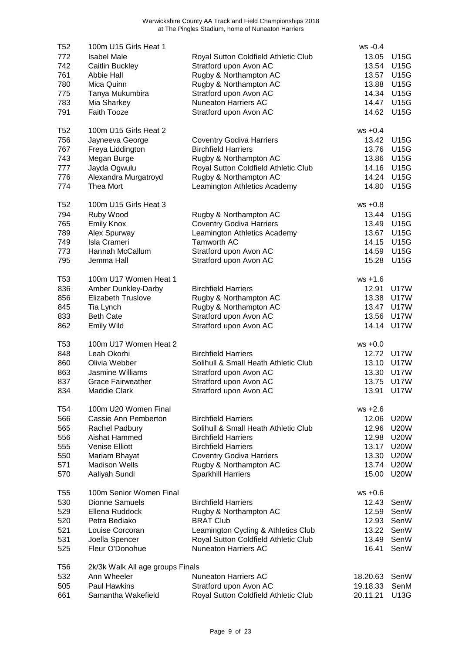| T52<br>772      | 100m U15 Girls Heat 1<br><b>Isabel Male</b> |                                                                | $ws -0.4$<br>13.05 | <b>U15G</b> |
|-----------------|---------------------------------------------|----------------------------------------------------------------|--------------------|-------------|
| 742             | Caitlin Buckley                             | Royal Sutton Coldfield Athletic Club<br>Stratford upon Avon AC | 13.54              | U15G        |
| 761             | Abbie Hall                                  | Rugby & Northampton AC                                         | 13.57              | U15G        |
| 780             | Mica Quinn                                  | Rugby & Northampton AC                                         | 13.88              | <b>U15G</b> |
| 775             | Tanya Mukumbira                             | Stratford upon Avon AC                                         | 14.34              | <b>U15G</b> |
| 783             | Mia Sharkey                                 | <b>Nuneaton Harriers AC</b>                                    | 14.47              | <b>U15G</b> |
| 791             | <b>Faith Tooze</b>                          | Stratford upon Avon AC                                         | 14.62              | <b>U15G</b> |
|                 |                                             |                                                                |                    |             |
| T <sub>52</sub> | 100m U15 Girls Heat 2                       |                                                                | $ws + 0.4$         |             |
| 756             | Jayneeva George                             | <b>Coventry Godiva Harriers</b>                                | 13.42              | U15G        |
| 767             | Freya Liddington                            | <b>Birchfield Harriers</b>                                     | 13.76              | U15G        |
| 743             | Megan Burge                                 | Rugby & Northampton AC                                         | 13.86              | U15G        |
| 777             | Jayda Ogwulu                                | Royal Sutton Coldfield Athletic Club                           | 14.16              | <b>U15G</b> |
| 776             | Alexandra Murgatroyd                        | Rugby & Northampton AC                                         | 14.24              | <b>U15G</b> |
| 774             | Thea Mort                                   | Leamington Athletics Academy                                   | 14.80              | <b>U15G</b> |
| T <sub>52</sub> | 100m U15 Girls Heat 3                       |                                                                | $ws + 0.8$         |             |
| 794             | Ruby Wood                                   | Rugby & Northampton AC                                         | 13.44              | <b>U15G</b> |
| 765             | <b>Emily Knox</b>                           | <b>Coventry Godiva Harriers</b>                                | 13.49              | <b>U15G</b> |
| 789             | Alex Spurway                                | Leamington Athletics Academy                                   | 13.67              | <b>U15G</b> |
| 749             | <b>Isla Crameri</b>                         | <b>Tamworth AC</b>                                             | 14.15              | <b>U15G</b> |
| 773             | Hannah McCallum                             | Stratford upon Avon AC                                         | 14.59              | <b>U15G</b> |
| 795             | Jemma Hall                                  | Stratford upon Avon AC                                         | 15.28              | <b>U15G</b> |
| T <sub>53</sub> | 100m U17 Women Heat 1                       |                                                                | $ws + 1.6$         |             |
| 836             | Amber Dunkley-Darby                         | <b>Birchfield Harriers</b>                                     | 12.91              | U17W        |
| 856             | Elizabeth Truslove                          | Rugby & Northampton AC                                         | 13.38              | <b>U17W</b> |
| 845             | Tia Lynch                                   | Rugby & Northampton AC                                         | 13.47              | <b>U17W</b> |
| 833             | <b>Beth Cate</b>                            | Stratford upon Avon AC                                         | 13.56              | <b>U17W</b> |
| 862             | <b>Emily Wild</b>                           | Stratford upon Avon AC                                         | 14.14              | <b>U17W</b> |
| T <sub>53</sub> | 100m U17 Women Heat 2                       |                                                                | $ws +0.0$          |             |
| 848             | Leah Okorhi                                 | <b>Birchfield Harriers</b>                                     | 12.72              | U17W        |
| 860             | Olivia Webber                               | Solihull & Small Heath Athletic Club                           | 13.10              | <b>U17W</b> |
| 863             | <b>Jasmine Williams</b>                     | Stratford upon Avon AC                                         | 13.30              | <b>U17W</b> |
| 837             | <b>Grace Fairweather</b>                    | Stratford upon Avon AC                                         | 13.75              | U17W        |
| 834             | <b>Maddie Clark</b>                         | Stratford upon Avon AC                                         |                    | 13.91 U17W  |
| T <sub>54</sub> | 100m U20 Women Final                        |                                                                | $ws + 2.6$         |             |
| 566             | Cassie Ann Pemberton                        | <b>Birchfield Harriers</b>                                     | 12.06              | <b>U20W</b> |
| 565             | Rachel Padbury                              | Solihull & Small Heath Athletic Club                           | 12.96              | <b>U20W</b> |
| 556             | Aishat Hammed                               | <b>Birchfield Harriers</b>                                     | 12.98              | <b>U20W</b> |
| 555             | <b>Venise Elliott</b>                       | <b>Birchfield Harriers</b>                                     | 13.17              | <b>U20W</b> |
| 550             | Mariam Bhayat                               | <b>Coventry Godiva Harriers</b>                                | 13.30              | <b>U20W</b> |
| 571             | <b>Madison Wells</b>                        | Rugby & Northampton AC                                         | 13.74              | <b>U20W</b> |
| 570             | Aaliyah Sundi                               | <b>Sparkhill Harriers</b>                                      | 15.00              | <b>U20W</b> |
| T <sub>55</sub> | 100m Senior Women Final                     |                                                                | $ws +0.6$          |             |
| 530             | <b>Dionne Samuels</b>                       | <b>Birchfield Harriers</b>                                     | 12.43              | SenW        |
| 529             | Ellena Ruddock                              | Rugby & Northampton AC                                         | 12.59              | SenW        |
| 520             | Petra Bediako                               | <b>BRAT Club</b>                                               | 12.93              | SenW        |
| 521             | Louise Corcoran                             | Leamington Cycling & Athletics Club                            | 13.22              | SenW        |
| 531             | Joella Spencer                              | Royal Sutton Coldfield Athletic Club                           | 13.49              | SenW        |
| 525             | Fleur O'Donohue                             | <b>Nuneaton Harriers AC</b>                                    | 16.41              | SenW        |
| T <sub>56</sub> | 2k/3k Walk All age groups Finals            |                                                                |                    |             |
| 532             | Ann Wheeler                                 | <b>Nuneaton Harriers AC</b>                                    | 18.20.63           | SenW        |
| 505             | Paul Hawkins                                | Stratford upon Avon AC                                         | 19.18.33           | SenM        |
| 661             | Samantha Wakefield                          | Royal Sutton Coldfield Athletic Club                           | 20.11.21           | U13G        |
|                 |                                             |                                                                |                    |             |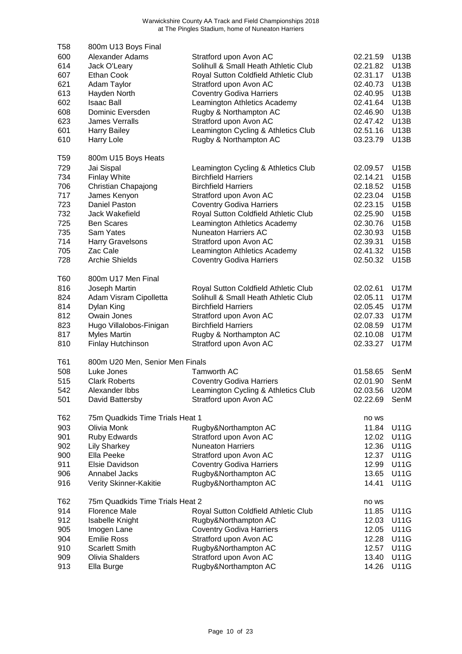| T58 | 800m U13 Boys Final             |                                                               |          |             |
|-----|---------------------------------|---------------------------------------------------------------|----------|-------------|
| 600 | Alexander Adams                 | Stratford upon Avon AC                                        | 02.21.59 | <b>U13B</b> |
| 614 | Jack O'Leary                    | Solihull & Small Heath Athletic Club                          | 02.21.82 | U13B        |
| 607 | <b>Ethan Cook</b>               | Royal Sutton Coldfield Athletic Club                          | 02.31.17 | U13B        |
| 621 | Adam Taylor                     | Stratford upon Avon AC                                        | 02.40.73 | <b>U13B</b> |
| 613 | Hayden North                    | <b>Coventry Godiva Harriers</b>                               | 02.40.95 | <b>U13B</b> |
| 602 | <b>Isaac Ball</b>               | Leamington Athletics Academy                                  | 02.41.64 | <b>U13B</b> |
| 608 | Dominic Eversden                | Rugby & Northampton AC                                        | 02.46.90 | <b>U13B</b> |
| 623 | <b>James Verralls</b>           | Stratford upon Avon AC                                        | 02.47.42 | <b>U13B</b> |
| 601 | <b>Harry Bailey</b>             | Leamington Cycling & Athletics Club                           | 02.51.16 | U13B        |
| 610 | Harry Lole                      | Rugby & Northampton AC                                        | 03.23.79 | U13B        |
|     |                                 |                                                               |          |             |
| T59 | 800m U15 Boys Heats             |                                                               |          |             |
| 729 | Jai Sispal                      | Leamington Cycling & Athletics Club                           | 02.09.57 | U15B        |
| 734 | <b>Finlay White</b>             | <b>Birchfield Harriers</b>                                    | 02.14.21 | U15B        |
| 706 | Christian Chapajong             | <b>Birchfield Harriers</b>                                    | 02.18.52 | U15B        |
| 717 | James Kenyon                    | Stratford upon Avon AC                                        | 02.23.04 | U15B        |
| 723 | Daniel Paston                   | <b>Coventry Godiva Harriers</b>                               | 02.23.15 | <b>U15B</b> |
| 732 | Jack Wakefield                  | Royal Sutton Coldfield Athletic Club                          | 02.25.90 | <b>U15B</b> |
| 725 | <b>Ben Scares</b>               | Leamington Athletics Academy                                  | 02.30.76 | <b>U15B</b> |
| 735 | Sam Yates                       | <b>Nuneaton Harriers AC</b>                                   | 02.30.93 | U15B        |
| 714 | <b>Harry Gravelsons</b>         | Stratford upon Avon AC                                        | 02.39.31 | U15B        |
| 705 | Zac Cale                        | Leamington Athletics Academy                                  | 02.41.32 | U15B        |
| 728 | <b>Archie Shields</b>           | <b>Coventry Godiva Harriers</b>                               | 02.50.32 | <b>U15B</b> |
|     |                                 |                                                               |          |             |
| T60 | 800m U17 Men Final              |                                                               |          |             |
| 816 | Joseph Martin                   | Royal Sutton Coldfield Athletic Club                          | 02.02.61 | <b>U17M</b> |
| 824 | Adam Visram Cipolletta          | Solihull & Small Heath Athletic Club                          | 02.05.11 | <b>U17M</b> |
| 814 | Dylan King                      | <b>Birchfield Harriers</b>                                    | 02.05.45 | <b>U17M</b> |
| 812 | Owain Jones                     | Stratford upon Avon AC                                        | 02.07.33 | <b>U17M</b> |
| 823 | Hugo Villalobos-Finigan         | <b>Birchfield Harriers</b>                                    | 02.08.59 | <b>U17M</b> |
| 817 | <b>Myles Martin</b>             | Rugby & Northampton AC                                        | 02.10.08 | <b>U17M</b> |
| 810 | Finlay Hutchinson               | Stratford upon Avon AC                                        | 02.33.27 | <b>U17M</b> |
| T61 | 800m U20 Men, Senior Men Finals |                                                               |          |             |
| 508 | Luke Jones                      | Tamworth AC                                                   | 01.58.65 | SenM        |
| 515 | <b>Clark Roberts</b>            | <b>Coventry Godiva Harriers</b>                               | 02.01.90 | SenM        |
| 542 | Alexander Ibbs                  |                                                               | 02.03.56 | U20M        |
| 501 | David Battersby                 | Leamington Cycling & Athletics Club<br>Stratford upon Avon AC | 02.22.69 | SenM        |
|     |                                 |                                                               |          |             |
| T62 | 75m Quadkids Time Trials Heat 1 |                                                               | no ws    |             |
| 903 | Olivia Monk                     | Rugby&Northampton AC                                          | 11.84    | U11G        |
| 901 | <b>Ruby Edwards</b>             | Stratford upon Avon AC                                        | 12.02    | U11G        |
| 902 | <b>Lily Sharkey</b>             | <b>Nuneaton Harriers</b>                                      | 12.36    | U11G        |
| 900 | Ella Peeke                      | Stratford upon Avon AC                                        | 12.37    | <b>U11G</b> |
| 911 | Elsie Davidson                  | <b>Coventry Godiva Harriers</b>                               | 12.99    | <b>U11G</b> |
| 906 | Annabel Jacks                   | Rugby&Northampton AC                                          | 13.65    | <b>U11G</b> |
| 916 | Verity Skinner-Kakitie          | Rugby&Northampton AC                                          | 14.41    | <b>U11G</b> |
| T62 | 75m Quadkids Time Trials Heat 2 |                                                               | no ws    |             |
| 914 | <b>Florence Male</b>            |                                                               | 11.85    | U11G        |
|     |                                 | Royal Sutton Coldfield Athletic Club                          |          |             |
| 912 | <b>Isabelle Knight</b>          | Rugby&Northampton AC                                          | 12.03    | U11G        |
| 905 | Imogen Lane                     | <b>Coventry Godiva Harriers</b>                               | 12.05    | U11G        |
| 904 | <b>Emilie Ross</b>              | Stratford upon Avon AC                                        | 12.28    | <b>U11G</b> |
| 910 | <b>Scarlett Smith</b>           | Rugby&Northampton AC                                          | 12.57    | <b>U11G</b> |
| 909 | Olivia Shalders                 | Stratford upon Avon AC                                        | 13.40    | <b>U11G</b> |
| 913 | Ella Burge                      | Rugby&Northampton AC                                          | 14.26    | <b>U11G</b> |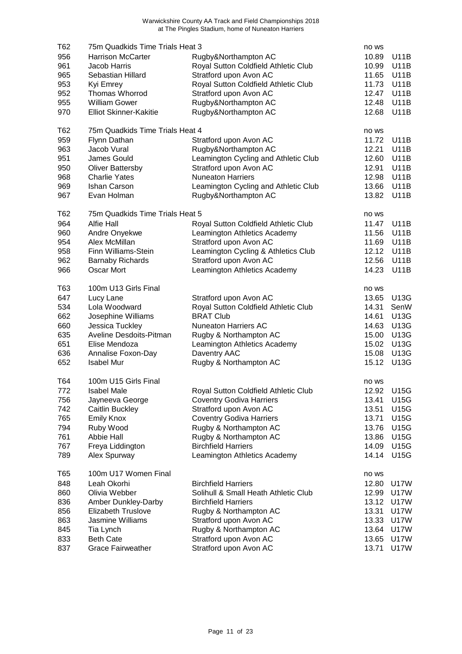| T62        | 75m Quadkids Time Trials Heat 3 |                                      |                |             |
|------------|---------------------------------|--------------------------------------|----------------|-------------|
|            |                                 |                                      | no ws          |             |
| 956        | Harrison McCarter               | Rugby&Northampton AC                 | 10.89          | U11B        |
| 961        | Jacob Harris                    | Royal Sutton Coldfield Athletic Club | 10.99          | <b>U11B</b> |
| 965        | Sebastian Hillard               | Stratford upon Avon AC               | 11.65          | <b>U11B</b> |
| 953        | Kyi Emrey                       | Royal Sutton Coldfield Athletic Club | 11.73          | <b>U11B</b> |
| 952        | <b>Thomas Whorrod</b>           | Stratford upon Avon AC               | 12.47          | <b>U11B</b> |
| 955        | <b>William Gower</b>            | Rugby&Northampton AC                 | 12.48          | <b>U11B</b> |
| 970        | <b>Elliot Skinner-Kakitie</b>   | Rugby&Northampton AC                 | 12.68          | <b>U11B</b> |
|            |                                 |                                      |                |             |
| T62        | 75m Quadkids Time Trials Heat 4 |                                      | no ws          |             |
| 959        | Flynn Dathan                    | Stratford upon Avon AC               | 11.72          | <b>U11B</b> |
| 963        | Jacob Vural                     | Rugby&Northampton AC                 | 12.21          | <b>U11B</b> |
| 951        | James Gould                     | Leamington Cycling and Athletic Club | 12.60          | <b>U11B</b> |
|            |                                 |                                      |                |             |
| 950        | <b>Oliver Battersby</b>         | Stratford upon Avon AC               | 12.91          | <b>U11B</b> |
| 968        | <b>Charlie Yates</b>            | <b>Nuneaton Harriers</b>             | 12.98          | <b>U11B</b> |
| 969        | Ishan Carson                    | Leamington Cycling and Athletic Club | 13.66          | <b>U11B</b> |
| 967        | Evan Holman                     | Rugby&Northampton AC                 | 13.82          | <b>U11B</b> |
|            | 75m Quadkids Time Trials Heat 5 |                                      |                |             |
| T62<br>964 | <b>Alfie Hall</b>               |                                      | no ws<br>11.47 | <b>U11B</b> |
|            |                                 | Royal Sutton Coldfield Athletic Club |                |             |
| 960        | Andre Onyekwe                   | Leamington Athletics Academy         | 11.56          | <b>U11B</b> |
| 954        | Alex McMillan                   | Stratford upon Avon AC               | 11.69          | <b>U11B</b> |
| 958        | Finn Williams-Stein             | Leamington Cycling & Athletics Club  | 12.12          | <b>U11B</b> |
| 962        | <b>Barnaby Richards</b>         | Stratford upon Avon AC               | 12.56          | <b>U11B</b> |
| 966        | Oscar Mort                      | Leamington Athletics Academy         | 14.23          | <b>U11B</b> |
|            |                                 |                                      |                |             |
| T63        | 100m U13 Girls Final            |                                      | no ws          |             |
| 647        | Lucy Lane                       | Stratford upon Avon AC               | 13.65          | U13G        |
| 534        | Lola Woodward                   | Royal Sutton Coldfield Athletic Club | 14.31          | SenW        |
| 662        | Josephine Williams              | <b>BRAT Club</b>                     | 14.61          | U13G        |
| 660        | Jessica Tuckley                 | <b>Nuneaton Harriers AC</b>          | 14.63          | U13G        |
| 635        | Aveline Desdoits-Pitman         | Rugby & Northampton AC               | 15.00          | U13G        |
| 651        | Elise Mendoza                   | Leamington Athletics Academy         | 15.02          | U13G        |
| 636        | Annalise Foxon-Day              | Daventry AAC                         | 15.08          | <b>U13G</b> |
| 652        | <b>Isabel Mur</b>               | Rugby & Northampton AC               | 15.12          | <b>U13G</b> |
|            |                                 |                                      |                |             |
| T64        | 100m U15 Girls Final            |                                      | no ws          |             |
| 772        | <b>Isabel Male</b>              | Royal Sutton Coldfield Athletic Club | 12.92          | <b>U15G</b> |
| 756        | Jayneeva George                 | <b>Coventry Godiva Harriers</b>      | 13.41          | <b>U15G</b> |
| 742        | Caitlin Buckley                 | Stratford upon Avon AC               | 13.51          | <b>U15G</b> |
| 765        | <b>Emily Knox</b>               | <b>Coventry Godiva Harriers</b>      | 13.71          | <b>U15G</b> |
| 794        | Ruby Wood                       | Rugby & Northampton AC               | 13.76          | <b>U15G</b> |
| 761        | <b>Abbie Hall</b>               | Rugby & Northampton AC               | 13.86          | <b>U15G</b> |
| 767        | Freya Liddington                | <b>Birchfield Harriers</b>           | 14.09          | <b>U15G</b> |
| 789        | Alex Spurway                    | Leamington Athletics Academy         | 14.14          | <b>U15G</b> |
|            |                                 |                                      |                |             |
| T65        | 100m U17 Women Final            |                                      | no ws          |             |
| 848        | Leah Okorhi                     | <b>Birchfield Harriers</b>           | 12.80          | U17W        |
| 860        | Olivia Webber                   | Solihull & Small Heath Athletic Club | 12.99          | <b>U17W</b> |
| 836        | Amber Dunkley-Darby             | <b>Birchfield Harriers</b>           | 13.12          | <b>U17W</b> |
| 856        | <b>Elizabeth Truslove</b>       | Rugby & Northampton AC               | 13.31          | <b>U17W</b> |
| 863        | Jasmine Williams                | Stratford upon Avon AC               | 13.33          | <b>U17W</b> |
| 845        | Tia Lynch                       | Rugby & Northampton AC               | 13.64          | <b>U17W</b> |
| 833        | <b>Beth Cate</b>                | Stratford upon Avon AC               | 13.65          | <b>U17W</b> |
|            |                                 |                                      |                |             |
| 837        | <b>Grace Fairweather</b>        | Stratford upon Avon AC               | 13.71          | <b>U17W</b> |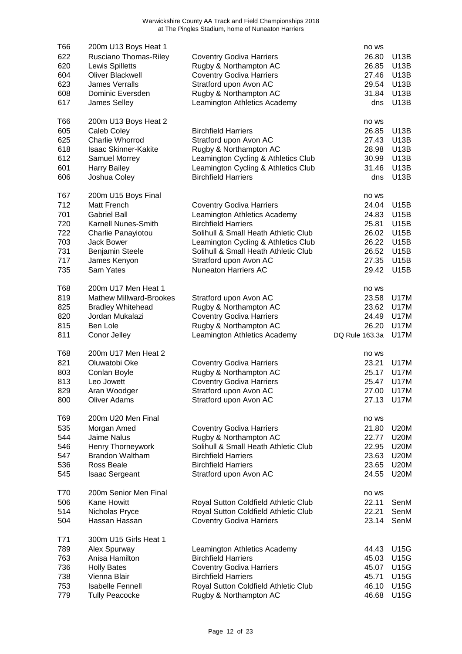| T66        | 200m U13 Boys Heat 1                             |                                                                | no ws          |                            |
|------------|--------------------------------------------------|----------------------------------------------------------------|----------------|----------------------------|
| 622        | Rusciano Thomas-Riley                            | <b>Coventry Godiva Harriers</b>                                | 26.80          | U13B                       |
| 620        | Lewis Spilletts                                  | Rugby & Northampton AC                                         | 26.85          | U13B                       |
| 604        | Oliver Blackwell                                 | <b>Coventry Godiva Harriers</b>                                | 27.46          | U13B                       |
| 623        | <b>James Verralls</b>                            | Stratford upon Avon AC                                         | 29.54          | <b>U13B</b>                |
| 608        | Dominic Eversden                                 | Rugby & Northampton AC                                         | 31.84          | <b>U13B</b>                |
| 617        | James Selley                                     | Leamington Athletics Academy                                   | dns            | <b>U13B</b>                |
|            |                                                  |                                                                |                |                            |
| T66        | 200m U13 Boys Heat 2                             |                                                                | no ws          |                            |
| 605        | Caleb Coley                                      | <b>Birchfield Harriers</b>                                     | 26.85          | U13B                       |
| 625        | <b>Charlie Whorrod</b>                           | Stratford upon Avon AC                                         | 27.43          | U13B                       |
| 618        | <b>Isaac Skinner-Kakite</b>                      | Rugby & Northampton AC                                         | 28.98          | U13B                       |
| 612        |                                                  |                                                                | 30.99          | <b>U13B</b>                |
|            | Samuel Morrey                                    | Leamington Cycling & Athletics Club                            |                | <b>U13B</b>                |
| 601        | <b>Harry Bailey</b>                              | Leamington Cycling & Athletics Club                            | 31.46          |                            |
| 606        | Joshua Coley                                     | <b>Birchfield Harriers</b>                                     | dns            | <b>U13B</b>                |
| T67        | 200m U15 Boys Final                              |                                                                | no ws          |                            |
| 712        | Matt French                                      | <b>Coventry Godiva Harriers</b>                                | 24.04          | U15B                       |
| 701        | <b>Gabriel Ball</b>                              | Leamington Athletics Academy                                   | 24.83          | U15B                       |
| 720        | Karnell Nunes-Smith                              | <b>Birchfield Harriers</b>                                     | 25.81          | U15B                       |
| 722        | Charlie Panayiotou                               | Solihull & Small Heath Athletic Club                           | 26.02          | U15B                       |
|            |                                                  |                                                                | 26.22          | <b>U15B</b>                |
| 703        | <b>Jack Bower</b>                                | Leamington Cycling & Athletics Club                            |                |                            |
| 731        | Benjamin Steele                                  | Solihull & Small Heath Athletic Club                           | 26.52          | U15B                       |
| 717        | James Kenyon                                     | Stratford upon Avon AC                                         | 27.35          | U15B                       |
| 735        | Sam Yates                                        | <b>Nuneaton Harriers AC</b>                                    | 29.42          | U15B                       |
| T68        | 200m U17 Men Heat 1                              |                                                                | no ws          |                            |
| 819        | <b>Mathew Millward-Brookes</b>                   | Stratford upon Avon AC                                         | 23.58          | U17M                       |
| 825        | <b>Bradley Whitehead</b>                         | Rugby & Northampton AC                                         | 23.62          | U17M                       |
| 820        | Jordan Mukalazi                                  | <b>Coventry Godiva Harriers</b>                                | 24.49          | U17M                       |
| 815        | Ben Lole                                         | Rugby & Northampton AC                                         | 26.20          | <b>U17M</b>                |
| 811        |                                                  |                                                                |                |                            |
|            | Conor Jelley                                     | Leamington Athletics Academy                                   | DQ Rule 163.3a | U17M                       |
| T68        | 200m U17 Men Heat 2                              |                                                                | no ws          |                            |
| 821        | Oluwatobi Oke                                    | <b>Coventry Godiva Harriers</b>                                | 23.21          | U17M                       |
| 803        | Conlan Boyle                                     | Rugby & Northampton AC                                         | 25.17          | U17M                       |
| 813        | Leo Jowett                                       | <b>Coventry Godiva Harriers</b>                                | 25.47          | <b>U17M</b>                |
| 829        | Aran Woodger                                     | Stratford upon Avon AC                                         |                | 27.00 U17M                 |
| 800        | <b>Oliver Adams</b>                              | Stratford upon Avon AC                                         | 27.13          | <b>U17M</b>                |
|            |                                                  |                                                                |                |                            |
| T69        | 200m U20 Men Final                               |                                                                | no ws          |                            |
| 535        | Morgan Amed                                      | <b>Coventry Godiva Harriers</b>                                | 21.80          | <b>U20M</b>                |
| 544        | Jaime Nalus                                      | Rugby & Northampton AC                                         | 22.77          | <b>U20M</b>                |
| 546        | Henry Thorneywork                                | Solihull & Small Heath Athletic Club                           | 22.95          | <b>U20M</b>                |
| 547        | <b>Brandon Waltham</b>                           | <b>Birchfield Harriers</b>                                     | 23.63          | <b>U20M</b>                |
| 536        | Ross Beale                                       | <b>Birchfield Harriers</b>                                     | 23.65          | <b>U20M</b>                |
| 545        | <b>Isaac Sergeant</b>                            | Stratford upon Avon AC                                         | 24.55          | <b>U20M</b>                |
|            |                                                  |                                                                |                |                            |
| T70        | 200m Senior Men Final                            |                                                                | no ws          |                            |
| 506        | Kane Howitt                                      | Royal Sutton Coldfield Athletic Club                           | 22.11          | SenM                       |
| 514        | Nicholas Pryce                                   | Royal Sutton Coldfield Athletic Club                           | 22.21          | SenM                       |
| 504        | Hassan Hassan                                    | <b>Coventry Godiva Harriers</b>                                | 23.14          | SenM                       |
| T71        | 300m U15 Girls Heat 1                            |                                                                |                |                            |
|            |                                                  |                                                                |                |                            |
| 789        | Alex Spurway                                     | Leamington Athletics Academy                                   | 44.43          | U15G                       |
| 763        | Anisa Hamilton                                   | <b>Birchfield Harriers</b>                                     | 45.03          | <b>U15G</b>                |
| 736<br>738 | <b>Holly Bates</b>                               | <b>Coventry Godiva Harriers</b>                                | 45.07          | <b>U15G</b>                |
|            |                                                  |                                                                |                |                            |
|            | Vienna Blair                                     | <b>Birchfield Harriers</b>                                     | 45.71          | <b>U15G</b>                |
| 753<br>779 | <b>Isabelle Fennell</b><br><b>Tully Peacocke</b> | Royal Sutton Coldfield Athletic Club<br>Rugby & Northampton AC | 46.10<br>46.68 | <b>U15G</b><br><b>U15G</b> |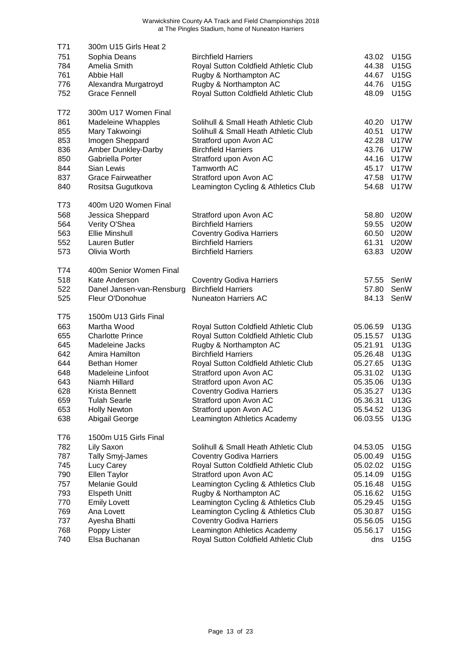| T71        | 300m U15 Girls Heat 2         |                                                               |                      |             |
|------------|-------------------------------|---------------------------------------------------------------|----------------------|-------------|
| 751        | Sophia Deans                  | <b>Birchfield Harriers</b>                                    | 43.02                | <b>U15G</b> |
| 784        | Amelia Smith                  | Royal Sutton Coldfield Athletic Club                          | 44.38                | <b>U15G</b> |
| 761        | <b>Abbie Hall</b>             | Rugby & Northampton AC                                        | 44.67                | <b>U15G</b> |
| 776        | Alexandra Murgatroyd          | Rugby & Northampton AC                                        | 44.76                | <b>U15G</b> |
| 752        | <b>Grace Fennell</b>          | Royal Sutton Coldfield Athletic Club                          | 48.09                | <b>U15G</b> |
|            |                               |                                                               |                      |             |
| T72        | 300m U17 Women Final          |                                                               |                      |             |
| 861        | <b>Madeleine Whapples</b>     | Solihull & Small Heath Athletic Club                          | 40.20                | <b>U17W</b> |
| 855        | Mary Takwoingi                | Solihull & Small Heath Athletic Club                          | 40.51                | <b>U17W</b> |
| 853        | Imogen Sheppard               | Stratford upon Avon AC                                        | 42.28                | <b>U17W</b> |
| 836        | Amber Dunkley-Darby           | <b>Birchfield Harriers</b>                                    | 43.76                | <b>U17W</b> |
| 850        | Gabriella Porter              | Stratford upon Avon AC                                        | 44.16                | <b>U17W</b> |
| 844        | Sian Lewis                    | Tamworth AC                                                   | 45.17                | <b>U17W</b> |
| 837        | <b>Grace Fairweather</b>      | Stratford upon Avon AC                                        | 47.58                | <b>U17W</b> |
| 840        | Rositsa Gugutkova             | Leamington Cycling & Athletics Club                           | 54.68                | <b>U17W</b> |
| T73        | 400m U20 Women Final          |                                                               |                      |             |
| 568        | Jessica Sheppard              | Stratford upon Avon AC                                        | 58.80                | <b>U20W</b> |
| 564        | Verity O'Shea                 | <b>Birchfield Harriers</b>                                    | 59.55                | <b>U20W</b> |
| 563        | <b>Ellie Minshull</b>         | <b>Coventry Godiva Harriers</b>                               | 60.50                | <b>U20W</b> |
| 552        | Lauren Butler                 | <b>Birchfield Harriers</b>                                    | 61.31                | <b>U20W</b> |
| 573        | Olivia Worth                  | <b>Birchfield Harriers</b>                                    | 63.83                | <b>U20W</b> |
|            |                               |                                                               |                      |             |
| T74        | 400m Senior Women Final       |                                                               |                      |             |
| 518        | Kate Anderson                 | <b>Coventry Godiva Harriers</b>                               | 57.55                | SenW        |
| 522        | Danel Jansen-van-Rensburg     | <b>Birchfield Harriers</b>                                    | 57.80                | SenW        |
| 525        | Fleur O'Donohue               | <b>Nuneaton Harriers AC</b>                                   | 84.13                | SenW        |
| T75        | 1500m U13 Girls Final         |                                                               |                      |             |
| 663        | Martha Wood                   | Royal Sutton Coldfield Athletic Club                          | 05.06.59             | U13G        |
| 655        | <b>Charlotte Prince</b>       | Royal Sutton Coldfield Athletic Club                          | 05.15.57             | U13G        |
| 645        | Madeleine Jacks               | Rugby & Northampton AC                                        | 05.21.91             | <b>U13G</b> |
| 642        | Amira Hamilton                | <b>Birchfield Harriers</b>                                    | 05.26.48             | <b>U13G</b> |
| 644        | <b>Bethan Homer</b>           | Royal Sutton Coldfield Athletic Club                          | 05.27.65             | U13G        |
| 648        | Madeleine Linfoot             | Stratford upon Avon AC                                        | 05.31.02             | U13G        |
| 643        | Niamh Hillard                 | Stratford upon Avon AC                                        | 05.35.06             | <b>U13G</b> |
| 628        | Krista Bennett                | <b>Coventry Godiva Harriers</b>                               | 05.35.27 U13G        |             |
| 659        | <b>Tulah Searle</b>           | Stratford upon Avon AC                                        | 05.36.31             | U13G        |
| 653        | <b>Holly Newton</b>           | Stratford upon Avon AC                                        | 05.54.52             | U13G        |
| 638        | Abigail George                | Leamington Athletics Academy                                  | 06.03.55             | U13G        |
| T76        | 1500m U15 Girls Final         |                                                               |                      |             |
| 782        | Lily Saxon                    | Solihull & Small Heath Athletic Club                          | 04.53.05             | <b>U15G</b> |
| 787        | Tally Smyj-James              | <b>Coventry Godiva Harriers</b>                               | 05.00.49             | <b>U15G</b> |
| 745        | Lucy Carey                    | Royal Sutton Coldfield Athletic Club                          | 05.02.02             | <b>U15G</b> |
|            |                               |                                                               |                      | <b>U15G</b> |
| 790<br>757 | Ellen Taylor<br>Melanie Gould | Stratford upon Avon AC<br>Leamington Cycling & Athletics Club | 05.14.09<br>05.16.48 | <b>U15G</b> |
| 793        | <b>Elspeth Unitt</b>          | Rugby & Northampton AC                                        | 05.16.62             | <b>U15G</b> |
| 770        | <b>Emily Lovett</b>           | Leamington Cycling & Athletics Club                           | 05.29.45             | <b>U15G</b> |
| 769        | Ana Lovett                    | Leamington Cycling & Athletics Club                           | 05.30.87             | U15G        |
| 737        | Ayesha Bhatti                 | <b>Coventry Godiva Harriers</b>                               | 05.56.05             | U15G        |
| 768        | Poppy Lister                  | Leamington Athletics Academy                                  | 05.56.17             | U15G        |
| 740        | Elsa Buchanan                 | Royal Sutton Coldfield Athletic Club                          | dns                  | <b>U15G</b> |
|            |                               |                                                               |                      |             |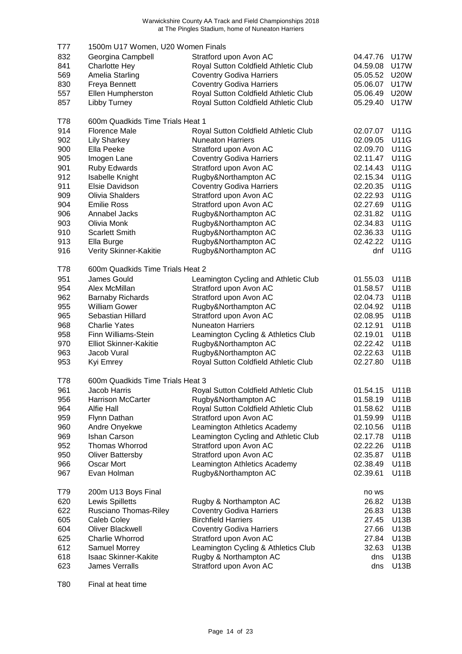| T77 | 1500m U17 Women, U20 Women Finals |                                             |               |             |
|-----|-----------------------------------|---------------------------------------------|---------------|-------------|
| 832 | Georgina Campbell                 | Stratford upon Avon AC                      | 04.47.76      | <b>U17W</b> |
| 841 | <b>Charlotte Hey</b>              | Royal Sutton Coldfield Athletic Club        | 04.59.08      | <b>U17W</b> |
| 569 | Amelia Starling                   | <b>Coventry Godiva Harriers</b>             | 05.05.52      | <b>U20W</b> |
| 830 | Freya Bennett                     | <b>Coventry Godiva Harriers</b>             | 05.06.07      | <b>U17W</b> |
| 557 | Ellen Humpherston                 | Royal Sutton Coldfield Athletic Club        | 05.06.49      | <b>U20W</b> |
| 857 | Libby Turney                      | Royal Sutton Coldfield Athletic Club        | 05.29.40      | <b>U17W</b> |
| T78 | 600m Quadkids Time Trials Heat 1  |                                             |               |             |
| 914 | <b>Florence Male</b>              | Royal Sutton Coldfield Athletic Club        | 02.07.07      | <b>U11G</b> |
| 902 | <b>Lily Sharkey</b>               | <b>Nuneaton Harriers</b>                    | 02.09.05      | <b>U11G</b> |
| 900 | Ella Peeke                        | Stratford upon Avon AC                      | 02.09.70      | <b>U11G</b> |
| 905 | Imogen Lane                       | <b>Coventry Godiva Harriers</b>             | 02.11.47      | <b>U11G</b> |
| 901 | Ruby Edwards                      | Stratford upon Avon AC                      | 02.14.43      | <b>U11G</b> |
| 912 | <b>Isabelle Knight</b>            | Rugby&Northampton AC                        | 02.15.34      | <b>U11G</b> |
| 911 | Elsie Davidson                    | <b>Coventry Godiva Harriers</b>             | 02.20.35      | <b>U11G</b> |
| 909 | <b>Olivia Shalders</b>            | Stratford upon Avon AC                      | 02.22.93      | <b>U11G</b> |
| 904 | <b>Emilie Ross</b>                | Stratford upon Avon AC                      | 02.27.69      | <b>U11G</b> |
| 906 | Annabel Jacks                     | Rugby&Northampton AC                        | 02.31.82      | <b>U11G</b> |
| 903 | Olivia Monk                       | Rugby&Northampton AC                        | 02.34.83      | <b>U11G</b> |
| 910 | <b>Scarlett Smith</b>             | Rugby&Northampton AC                        | 02.36.33      | <b>U11G</b> |
| 913 | Ella Burge                        | Rugby&Northampton AC                        | 02.42.22      | <b>U11G</b> |
| 916 | Verity Skinner-Kakitie            | Rugby&Northampton AC                        | dnf           | <b>U11G</b> |
| T78 | 600m Quadkids Time Trials Heat 2  |                                             |               |             |
| 951 | James Gould                       | Leamington Cycling and Athletic Club        | 01.55.03      | <b>U11B</b> |
| 954 | Alex McMillan                     | Stratford upon Avon AC                      | 01.58.57      | <b>U11B</b> |
| 962 | <b>Barnaby Richards</b>           | Stratford upon Avon AC                      | 02.04.73      | <b>U11B</b> |
| 955 | <b>William Gower</b>              | Rugby&Northampton AC                        | 02.04.92      | <b>U11B</b> |
| 965 | Sebastian Hillard                 | Stratford upon Avon AC                      | 02.08.95      | <b>U11B</b> |
| 968 | <b>Charlie Yates</b>              | <b>Nuneaton Harriers</b>                    | 02.12.91      | <b>U11B</b> |
| 958 | Finn Williams-Stein               | Leamington Cycling & Athletics Club         | 02.19.01      | <b>U11B</b> |
| 970 | <b>Elliot Skinner-Kakitie</b>     | Rugby&Northampton AC                        | 02.22.42      | <b>U11B</b> |
| 963 | Jacob Vural                       | Rugby&Northampton AC                        | 02.22.63      | <b>U11B</b> |
| 953 | Kyi Emrey                         | Royal Sutton Coldfield Athletic Club        | 02.27.80      | <b>U11B</b> |
| T78 | 600m Quadkids Time Trials Heat 3  |                                             |               |             |
| 961 | Jacob Harris                      | <b>Royal Sutton Coldfield Athletic Club</b> | 01.54.15 U11B |             |
| 956 | <b>Harrison McCarter</b>          | Rugby&Northampton AC                        | 01.58.19      | U11B        |
| 964 | Alfie Hall                        | Royal Sutton Coldfield Athletic Club        | 01.58.62      | <b>U11B</b> |
| 959 | Flynn Dathan                      | Stratford upon Avon AC                      | 01.59.99      | <b>U11B</b> |
| 960 | Andre Onyekwe                     | Leamington Athletics Academy                | 02.10.56      | <b>U11B</b> |
| 969 | <b>Ishan Carson</b>               | Leamington Cycling and Athletic Club        | 02.17.78      | <b>U11B</b> |
| 952 | Thomas Whorrod                    | Stratford upon Avon AC                      | 02.22.26      | <b>U11B</b> |
| 950 | <b>Oliver Battersby</b>           | Stratford upon Avon AC                      | 02.35.87      | U11B        |
| 966 | Oscar Mort                        | Leamington Athletics Academy                | 02.38.49      | <b>U11B</b> |
| 967 | Evan Holman                       | Rugby&Northampton AC                        | 02.39.61      | <b>U11B</b> |
| T79 | 200m U13 Boys Final               |                                             | no ws         |             |
| 620 | Lewis Spilletts                   | Rugby & Northampton AC                      | 26.82         | U13B        |
| 622 | Rusciano Thomas-Riley             | <b>Coventry Godiva Harriers</b>             | 26.83         | U13B        |
| 605 | Caleb Coley                       | <b>Birchfield Harriers</b>                  | 27.45         | U13B        |
| 604 | Oliver Blackwell                  | <b>Coventry Godiva Harriers</b>             | 27.66         | U13B        |
| 625 | Charlie Whorrod                   | Stratford upon Avon AC                      | 27.84         | U13B        |
| 612 | Samuel Morrey                     | Leamington Cycling & Athletics Club         | 32.63         | <b>U13B</b> |
| 618 | <b>Isaac Skinner-Kakite</b>       | Rugby & Northampton AC                      | dns           | U13B        |
| 623 | James Verralls                    | Stratford upon Avon AC                      | dns           | <b>U13B</b> |

T80 Final at heat time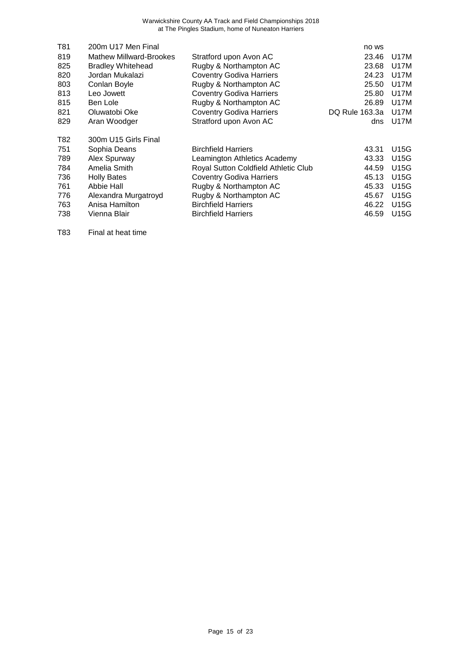| T81 | 200m U17 Men Final             |                                      | no ws          |             |
|-----|--------------------------------|--------------------------------------|----------------|-------------|
| 819 | <b>Mathew Millward-Brookes</b> | Stratford upon Avon AC               | 23.46          | U17M        |
| 825 | <b>Bradley Whitehead</b>       | Rugby & Northampton AC               | 23.68          | U17M        |
| 820 | Jordan Mukalazi                | <b>Coventry Godiva Harriers</b>      | 24.23          | U17M        |
| 803 | Conlan Boyle                   | Rugby & Northampton AC               | 25.50          | U17M        |
| 813 | Leo Jowett                     | <b>Coventry Godiva Harriers</b>      | 25.80          | U17M        |
| 815 | Ben Lole                       | Rugby & Northampton AC               | 26.89          | U17M        |
| 821 | Oluwatobi Oke                  | <b>Coventry Godiva Harriers</b>      | DQ Rule 163.3a | U17M        |
| 829 | Aran Woodger                   | Stratford upon Avon AC               | dns            | U17M        |
| T82 | 300m U15 Girls Final           |                                      |                |             |
| 751 | Sophia Deans                   | <b>Birchfield Harriers</b>           | 43.31          | U15G        |
| 789 | Alex Spurway                   | Leamington Athletics Academy         | 43.33          | U15G        |
| 784 | Amelia Smith                   | Royal Sutton Coldfield Athletic Club | 44.59          | U15G        |
| 736 | <b>Holly Bates</b>             | <b>Coventry Godiva Harriers</b>      | 45.13          | U15G        |
| 761 | Abbie Hall                     | Rugby & Northampton AC               | 45.33          | <b>U15G</b> |
| 776 | Alexandra Murgatroyd           | Rugby & Northampton AC               | 45.67          | U15G        |
| 763 | Anisa Hamilton                 | <b>Birchfield Harriers</b>           | 46.22          | U15G        |
| 738 | Vienna Blair                   | <b>Birchfield Harriers</b>           | 46.59          | U15G        |
|     |                                |                                      |                |             |

T83 Final at heat time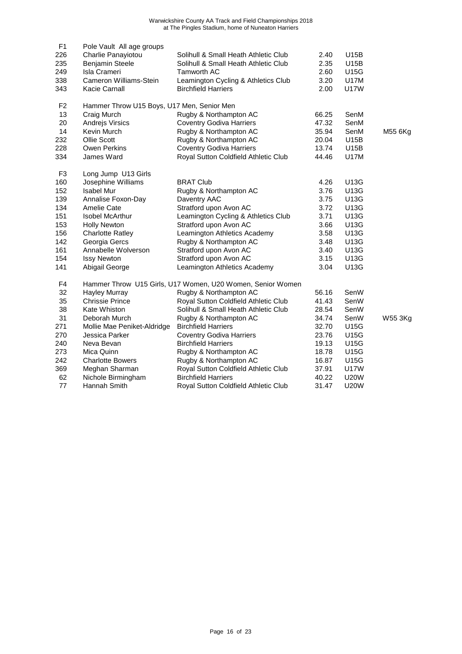| F <sub>1</sub> | Pole Vault All age groups                  |                                                            |       |             |         |
|----------------|--------------------------------------------|------------------------------------------------------------|-------|-------------|---------|
| 226            | Charlie Panayiotou                         | Solihull & Small Heath Athletic Club                       | 2.40  | <b>U15B</b> |         |
| 235            | <b>Benjamin Steele</b>                     | Solihull & Small Heath Athletic Club                       | 2.35  | U15B        |         |
| 249            | <b>Isla Crameri</b>                        | <b>Tamworth AC</b>                                         | 2.60  | U15G        |         |
| 338            | Cameron Williams-Stein                     | Leamington Cycling & Athletics Club                        | 3.20  | <b>U17M</b> |         |
| 343            | Kacie Carnall                              | <b>Birchfield Harriers</b>                                 | 2.00  | <b>U17W</b> |         |
| F <sub>2</sub> | Hammer Throw U15 Boys, U17 Men, Senior Men |                                                            |       |             |         |
| 13             | Craig Murch                                | Rugby & Northampton AC                                     | 66.25 | SenM        |         |
| 20             | Andrejs Virsics                            | <b>Coventry Godiva Harriers</b>                            | 47.32 | SenM        |         |
| 14             | Kevin Murch                                | Rugby & Northampton AC                                     | 35.94 | SenM        | M55 6Kg |
| 232            | Ollie Scott                                | Rugby & Northampton AC                                     | 20.04 | U15B        |         |
| 228            | Owen Perkins                               | <b>Coventry Godiva Harriers</b>                            | 13.74 | U15B        |         |
| 334            | James Ward                                 | Royal Sutton Coldfield Athletic Club                       | 44.46 | U17M        |         |
| F <sub>3</sub> | Long Jump U13 Girls                        |                                                            |       |             |         |
| 160            | Josephine Williams                         | <b>BRAT Club</b>                                           | 4.26  | <b>U13G</b> |         |
| 152            | <b>Isabel Mur</b>                          | Rugby & Northampton AC                                     | 3.76  | U13G        |         |
| 139            | Annalise Foxon-Day                         | Daventry AAC                                               | 3.75  | <b>U13G</b> |         |
| 134            | Amelie Cate                                | Stratford upon Avon AC                                     | 3.72  | <b>U13G</b> |         |
| 151            | <b>Isobel McArthur</b>                     | Leamington Cycling & Athletics Club                        | 3.71  | U13G        |         |
| 153            | <b>Holly Newton</b>                        | Stratford upon Avon AC                                     | 3.66  | U13G        |         |
| 156            | <b>Charlotte Ratley</b>                    | Leamington Athletics Academy                               | 3.58  | U13G        |         |
| 142            | Georgia Gercs                              | Rugby & Northampton AC                                     | 3.48  | U13G        |         |
| 161            | Annabelle Wolverson                        | Stratford upon Avon AC                                     | 3.40  | U13G        |         |
| 154            | <b>Issy Newton</b>                         | Stratford upon Avon AC                                     | 3.15  | U13G        |         |
| 141            | Abigail George                             | Leamington Athletics Academy                               | 3.04  | U13G        |         |
| F4             |                                            | Hammer Throw U15 Girls, U17 Women, U20 Women, Senior Women |       |             |         |
| 32             | Hayley Murray                              | Rugby & Northampton AC                                     | 56.16 | SenW        |         |
| 35             | <b>Chrissie Prince</b>                     | Royal Sutton Coldfield Athletic Club                       | 41.43 | SenW        |         |
| 38             | Kate Whiston                               | Solihull & Small Heath Athletic Club                       | 28.54 | SenW        |         |
| 31             | Deborah Murch                              | Rugby & Northampton AC                                     | 34.74 | SenW        | W55 3Kg |
| 271            | Mollie Mae Peniket-Aldridge                | <b>Birchfield Harriers</b>                                 | 32.70 | <b>U15G</b> |         |
| 270            | Jessica Parker                             | <b>Coventry Godiva Harriers</b>                            | 23.76 | U15G        |         |
| 240            | Neva Bevan                                 | <b>Birchfield Harriers</b>                                 | 19.13 | U15G        |         |
| 273            | Mica Quinn                                 | Rugby & Northampton AC                                     | 18.78 | <b>U15G</b> |         |
| 242            | <b>Charlotte Bowers</b>                    | Rugby & Northampton AC                                     | 16.87 | <b>U15G</b> |         |
| 369            | Meghan Sharman                             | Royal Sutton Coldfield Athletic Club                       | 37.91 | <b>U17W</b> |         |
| 62             | Nichole Birmingham                         | <b>Birchfield Harriers</b>                                 | 40.22 | <b>U20W</b> |         |
| 77             | Hannah Smith                               | Royal Sutton Coldfield Athletic Club                       | 31.47 | <b>U20W</b> |         |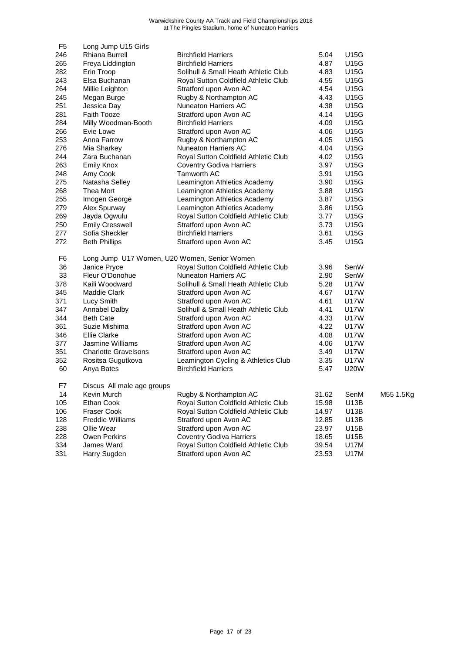| F <sub>5</sub> | Long Jump U15 Girls         |                                              |       |             |           |
|----------------|-----------------------------|----------------------------------------------|-------|-------------|-----------|
| 246            | Rhiana Burrell              | <b>Birchfield Harriers</b>                   | 5.04  | U15G        |           |
| 265            | Freya Liddington            | <b>Birchfield Harriers</b>                   | 4.87  | U15G        |           |
| 282            | Erin Troop                  | Solihull & Small Heath Athletic Club         | 4.83  | U15G        |           |
| 243            | Elsa Buchanan               | Royal Sutton Coldfield Athletic Club         | 4.55  | <b>U15G</b> |           |
| 264            | Millie Leighton             | Stratford upon Avon AC                       | 4.54  | <b>U15G</b> |           |
| 245            | Megan Burge                 | Rugby & Northampton AC                       | 4.43  | U15G        |           |
| 251            | Jessica Day                 | <b>Nuneaton Harriers AC</b>                  | 4.38  | U15G        |           |
| 281            | <b>Faith Tooze</b>          | Stratford upon Avon AC                       | 4.14  | <b>U15G</b> |           |
| 284            | Milly Woodman-Booth         | <b>Birchfield Harriers</b>                   | 4.09  | U15G        |           |
| 266            | Evie Lowe                   | Stratford upon Avon AC                       | 4.06  | U15G        |           |
| 253            | Anna Farrow                 | Rugby & Northampton AC                       | 4.05  | <b>U15G</b> |           |
| 276            | Mia Sharkey                 | <b>Nuneaton Harriers AC</b>                  | 4.04  | <b>U15G</b> |           |
| 244            | Zara Buchanan               | Royal Sutton Coldfield Athletic Club         | 4.02  | U15G        |           |
| 263            | <b>Emily Knox</b>           | <b>Coventry Godiva Harriers</b>              | 3.97  | U15G        |           |
| 248            | Amy Cook                    | Tamworth AC                                  | 3.91  | U15G        |           |
| 275            | Natasha Selley              | Leamington Athletics Academy                 | 3.90  | <b>U15G</b> |           |
| 268            | Thea Mort                   | Leamington Athletics Academy                 | 3.88  | U15G        |           |
| 255            | Imogen George               | Leamington Athletics Academy                 | 3.87  | U15G        |           |
| 279            | Alex Spurway                | Leamington Athletics Academy                 | 3.86  | U15G        |           |
| 269            | Jayda Ogwulu                | Royal Sutton Coldfield Athletic Club         | 3.77  | U15G        |           |
| 250            | <b>Emily Cresswell</b>      | Stratford upon Avon AC                       | 3.73  | U15G        |           |
| 277            | Sofia Sheckler              | <b>Birchfield Harriers</b>                   | 3.61  | <b>U15G</b> |           |
| 272            | <b>Beth Phillips</b>        | Stratford upon Avon AC                       | 3.45  | <b>U15G</b> |           |
| F <sub>6</sub> |                             | Long Jump U17 Women, U20 Women, Senior Women |       |             |           |
| 36             | Janice Pryce                | Royal Sutton Coldfield Athletic Club         | 3.96  | SenW        |           |
| 33             | Fleur O'Donohue             | <b>Nuneaton Harriers AC</b>                  | 2.90  | SenW        |           |
| 378            | Kaili Woodward              | Solihull & Small Heath Athletic Club         | 5.28  | <b>U17W</b> |           |
| 345            | <b>Maddie Clark</b>         | Stratford upon Avon AC                       | 4.67  | <b>U17W</b> |           |
| 371            | Lucy Smith                  | Stratford upon Avon AC                       | 4.61  | U17W        |           |
| 347            | Annabel Dalby               | Solihull & Small Heath Athletic Club         | 4.41  | <b>U17W</b> |           |
| 344            | <b>Beth Cate</b>            | Stratford upon Avon AC                       | 4.33  | <b>U17W</b> |           |
| 361            | Suzie Mishima               | Stratford upon Avon AC                       | 4.22  | <b>U17W</b> |           |
| 346            | <b>Ellie Clarke</b>         | Stratford upon Avon AC                       | 4.08  | <b>U17W</b> |           |
| 377            | Jasmine Williams            | Stratford upon Avon AC                       | 4.06  | <b>U17W</b> |           |
| 351            | <b>Charlotte Gravelsons</b> | Stratford upon Avon AC                       | 3.49  | U17W        |           |
| 352            | Rositsa Gugutkova           | Leamington Cycling & Athletics Club          | 3.35  | U17W        |           |
| 60             | Anya Bates                  | <b>Birchfield Harriers</b>                   | 5.47  | <b>U20W</b> |           |
| F7             | Discus All male age groups  |                                              |       |             |           |
| 14             | Kevin Murch                 | Rugby & Northampton AC                       | 31.62 | SenM        | M55 1.5Kg |
| 105            | Ethan Cook                  | Royal Sutton Coldfield Athletic Club         | 15.98 | U13B        |           |
| 106            | <b>Fraser Cook</b>          | Royal Sutton Coldfield Athletic Club         | 14.97 | U13B        |           |
| 128            | <b>Freddie Williams</b>     | Stratford upon Avon AC                       | 12.85 | U13B        |           |
| 238            | Ollie Wear                  | Stratford upon Avon AC                       | 23.97 | U15B        |           |
| 228            | Owen Perkins                | <b>Coventry Godiva Harriers</b>              | 18.65 | U15B        |           |
| 334            | James Ward                  | Royal Sutton Coldfield Athletic Club         | 39.54 | U17M        |           |
| 331            | Harry Sugden                | Stratford upon Avon AC                       | 23.53 | <b>U17M</b> |           |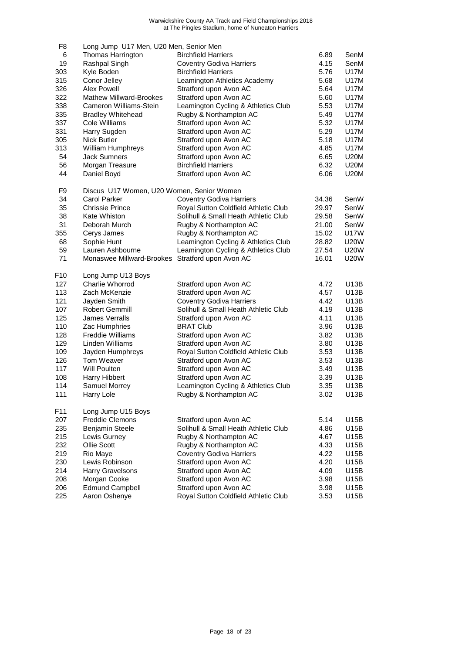| F <sub>8</sub> | Long Jump U17 Men, U20 Men, Senior Men           |                                      |       |             |
|----------------|--------------------------------------------------|--------------------------------------|-------|-------------|
| 6              | Thomas Harrington                                | <b>Birchfield Harriers</b>           | 6.89  | SenM        |
| 19             | Rashpal Singh                                    | <b>Coventry Godiva Harriers</b>      | 4.15  | SenM        |
| 303            | Kyle Boden                                       | <b>Birchfield Harriers</b>           | 5.76  | U17M        |
| 315            | Conor Jelley                                     | Leamington Athletics Academy         | 5.68  | U17M        |
| 326            | Alex Powell                                      | Stratford upon Avon AC               | 5.64  | U17M        |
| 322            | <b>Mathew Millward-Brookes</b>                   | Stratford upon Avon AC               | 5.60  | U17M        |
| 338            | Cameron Williams-Stein                           | Leamington Cycling & Athletics Club  | 5.53  | U17M        |
| 335            | <b>Bradley Whitehead</b>                         | Rugby & Northampton AC               | 5.49  | U17M        |
| 337            | Cole Williams                                    | Stratford upon Avon AC               | 5.32  | U17M        |
| 331            | Harry Sugden                                     | Stratford upon Avon AC               | 5.29  | U17M        |
| 305            | <b>Nick Butler</b>                               | Stratford upon Avon AC               | 5.18  | U17M        |
| 313            | William Humphreys                                | Stratford upon Avon AC               | 4.85  | U17M        |
| 54             | <b>Jack Sumners</b>                              | Stratford upon Avon AC               | 6.65  | <b>U20M</b> |
| 56             | Morgan Treasure                                  | <b>Birchfield Harriers</b>           | 6.32  | <b>U20M</b> |
| 44             | Daniel Boyd                                      | Stratford upon Avon AC               | 6.06  | <b>U20M</b> |
| F <sub>9</sub> | Discus U17 Women, U20 Women, Senior Women        |                                      |       |             |
| 34             | <b>Carol Parker</b>                              | <b>Coventry Godiva Harriers</b>      | 34.36 | SenW        |
| 35             | Chrissie Prince                                  | Royal Sutton Coldfield Athletic Club | 29.97 | SenW        |
| 38             | Kate Whiston                                     | Solihull & Small Heath Athletic Club | 29.58 | SenW        |
| 31             | Deborah Murch                                    | Rugby & Northampton AC               | 21.00 | SenW        |
| 355            | Cerys James                                      | Rugby & Northampton AC               | 15.02 | <b>U17W</b> |
| 68             | Sophie Hunt                                      | Leamington Cycling & Athletics Club  | 28.82 | <b>U20W</b> |
| 59             | Lauren Ashbourne                                 | Leamington Cycling & Athletics Club  | 27.54 | U20W        |
| 71             | Monaswee Millward-Brookes Stratford upon Avon AC |                                      | 16.01 | <b>U20W</b> |
| F10            | Long Jump U13 Boys                               |                                      |       |             |
| 127            | Charlie Whorrod                                  | Stratford upon Avon AC               | 4.72  | U13B        |
| 113            | Zach McKenzie                                    | Stratford upon Avon AC               | 4.57  | U13B        |
| 121            | Jayden Smith                                     | <b>Coventry Godiva Harriers</b>      | 4.42  | U13B        |
| 107            | <b>Robert Gemmill</b>                            | Solihull & Small Heath Athletic Club | 4.19  | U13B        |
| 125            | James Verralls                                   | Stratford upon Avon AC               | 4.11  | U13B        |
| 110            | Zac Humphries                                    | <b>BRAT Club</b>                     | 3.96  | U13B        |
| 128            | <b>Freddie Williams</b>                          | Stratford upon Avon AC               | 3.82  | U13B        |
| 129            | Linden Williams                                  | Stratford upon Avon AC               | 3.80  | U13B        |
| 109            | Jayden Humphreys                                 | Royal Sutton Coldfield Athletic Club | 3.53  | U13B        |
| 126            | Tom Weaver                                       | Stratford upon Avon AC               | 3.53  | U13B        |
| 117            | Will Poulten                                     | Stratford upon Avon AC               | 3.49  | U13B        |
| 108            | Harry Hibbert                                    | Stratford upon Avon AC               | 3.39  | U13B        |
| 114            | Samuel Morrey                                    | Leamington Cycling & Athletics Club  | 3.35  | U13B        |
| 111            | Harry Lole                                       | Rugby & Northampton AC               | 3.02  | U13B        |
| F11            | Long Jump U15 Boys                               |                                      |       |             |
| 207            | <b>Freddie Clemons</b>                           | Stratford upon Avon AC               | 5.14  | U15B        |
| 235            | Benjamin Steele                                  | Solihull & Small Heath Athletic Club | 4.86  | U15B        |
| 215            | Lewis Gurney                                     | Rugby & Northampton AC               | 4.67  | U15B        |
| 232            | Ollie Scott                                      | Rugby & Northampton AC               | 4.33  | U15B        |
| 219            | Rio Maye                                         | <b>Coventry Godiva Harriers</b>      | 4.22  | U15B        |
| 230            | Lewis Robinson                                   | Stratford upon Avon AC               | 4.20  | U15B        |
| 214            | Harry Gravelsons                                 | Stratford upon Avon AC               | 4.09  | U15B        |
| 208            | Morgan Cooke                                     | Stratford upon Avon AC               | 3.98  | U15B        |
| 206            | <b>Edmund Campbell</b>                           | Stratford upon Avon AC               | 3.98  | U15B        |
| 225            | Aaron Oshenye                                    | Royal Sutton Coldfield Athletic Club | 3.53  | U15B        |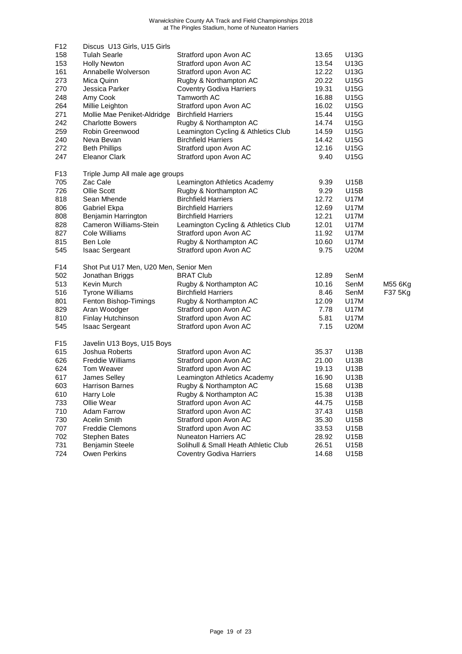| F <sub>12</sub> | Discus U13 Girls, U15 Girls           |                                      |       |             |         |
|-----------------|---------------------------------------|--------------------------------------|-------|-------------|---------|
| 158             | <b>Tulah Searle</b>                   | Stratford upon Avon AC               | 13.65 | <b>U13G</b> |         |
| 153             | <b>Holly Newton</b>                   | Stratford upon Avon AC               | 13.54 | U13G        |         |
| 161             | Annabelle Wolverson                   | Stratford upon Avon AC               | 12.22 | U13G        |         |
| 273             | Mica Quinn                            | Rugby & Northampton AC               | 20.22 | U15G        |         |
| 270             | Jessica Parker                        | <b>Coventry Godiva Harriers</b>      | 19.31 | U15G        |         |
| 248             | Amy Cook                              | <b>Tamworth AC</b>                   | 16.88 | U15G        |         |
| 264             | Millie Leighton                       | Stratford upon Avon AC               | 16.02 | U15G        |         |
| 271             | Mollie Mae Peniket-Aldridge           | <b>Birchfield Harriers</b>           | 15.44 | U15G        |         |
| 242             | <b>Charlotte Bowers</b>               | Rugby & Northampton AC               | 14.74 | U15G        |         |
| 259             | Robin Greenwood                       | Leamington Cycling & Athletics Club  | 14.59 | U15G        |         |
| 240             | Neva Bevan                            | <b>Birchfield Harriers</b>           | 14.42 | U15G        |         |
| 272             | <b>Beth Phillips</b>                  | Stratford upon Avon AC               | 12.16 | U15G        |         |
| 247             | <b>Eleanor Clark</b>                  | Stratford upon Avon AC               | 9.40  | U15G        |         |
| F <sub>13</sub> | Triple Jump All male age groups       |                                      |       |             |         |
| 705             | Zac Cale                              | Leamington Athletics Academy         | 9.39  | U15B        |         |
| 726             | Ollie Scott                           | Rugby & Northampton AC               | 9.29  | U15B        |         |
| 818             | Sean Mhende                           | <b>Birchfield Harriers</b>           | 12.72 | U17M        |         |
| 806             | Gabriel Ekpa                          | <b>Birchfield Harriers</b>           | 12.69 | <b>U17M</b> |         |
| 808             | Benjamin Harrington                   | <b>Birchfield Harriers</b>           | 12.21 | U17M        |         |
| 828             | Cameron Williams-Stein                | Leamington Cycling & Athletics Club  | 12.01 | U17M        |         |
| 827             | Cole Williams                         | Stratford upon Avon AC               | 11.92 | <b>U17M</b> |         |
| 815             | Ben Lole                              | Rugby & Northampton AC               | 10.60 | <b>U17M</b> |         |
| 545             | <b>Isaac Sergeant</b>                 | Stratford upon Avon AC               | 9.75  | <b>U20M</b> |         |
| F14             | Shot Put U17 Men, U20 Men, Senior Men |                                      |       |             |         |
| 502             | Jonathan Briggs                       | <b>BRAT Club</b>                     | 12.89 | SenM        |         |
| 513             | Kevin Murch                           | Rugby & Northampton AC               | 10.16 | SenM        | M55 6Kg |
| 516             | <b>Tyrone Williams</b>                | <b>Birchfield Harriers</b>           | 8.46  | SenM        | F37 5Kg |
| 801             | Fenton Bishop-Timings                 | Rugby & Northampton AC               | 12.09 | U17M        |         |
| 829             | Aran Woodger                          | Stratford upon Avon AC               | 7.78  | U17M        |         |
| 810             | Finlay Hutchinson                     | Stratford upon Avon AC               | 5.81  | U17M        |         |
| 545             | <b>Isaac Sergeant</b>                 | Stratford upon Avon AC               | 7.15  | <b>U20M</b> |         |
| F <sub>15</sub> | Javelin U13 Boys, U15 Boys            |                                      |       |             |         |
| 615             | Joshua Roberts                        | Stratford upon Avon AC               | 35.37 | U13B        |         |
| 626             | <b>Freddie Williams</b>               | Stratford upon Avon AC               | 21.00 | U13B        |         |
| 624             | Tom Weaver                            | Stratford upon Avon AC               | 19.13 | U13B        |         |
| 617             | James Selley                          | Leamington Athletics Academy         | 16.90 | U13B        |         |
| 603             | <b>Harrison Barnes</b>                | Rugby & Northampton AC               | 15.68 | U13B        |         |
| 610             | Harry Lole                            | Rugby & Northampton AC               | 15.38 | U13B        |         |
| 733             | Ollie Wear                            | Stratford upon Avon AC               | 44.75 | U15B        |         |
| 710             | <b>Adam Farrow</b>                    | Stratford upon Avon AC               | 37.43 | U15B        |         |
| 730             | Acelin Smith                          | Stratford upon Avon AC               | 35.30 | U15B        |         |
| 707             | <b>Freddie Clemons</b>                | Stratford upon Avon AC               | 33.53 | U15B        |         |
| 702             | <b>Stephen Bates</b>                  | Nuneaton Harriers AC                 | 28.92 | U15B        |         |
| 731             | Benjamin Steele                       | Solihull & Small Heath Athletic Club | 26.51 | U15B        |         |
| 724             | Owen Perkins                          | <b>Coventry Godiva Harriers</b>      | 14.68 | U15B        |         |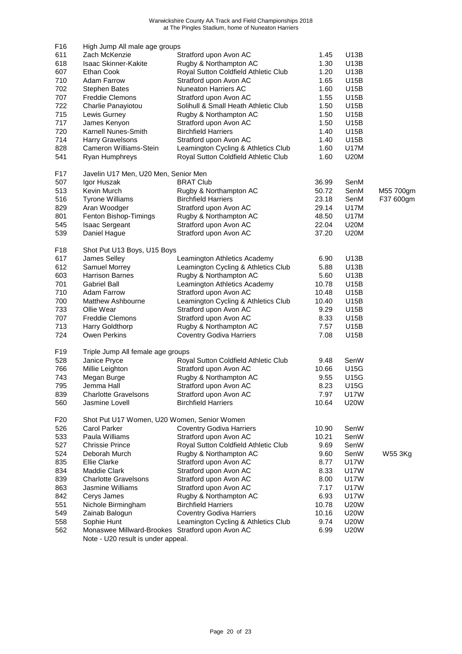| F16             | High Jump All male age groups                    |                                      |       |             |           |
|-----------------|--------------------------------------------------|--------------------------------------|-------|-------------|-----------|
| 611             | Zach McKenzie                                    | Stratford upon Avon AC               | 1.45  | U13B        |           |
| 618             | <b>Isaac Skinner-Kakite</b>                      | Rugby & Northampton AC               | 1.30  | U13B        |           |
| 607             | Ethan Cook                                       | Royal Sutton Coldfield Athletic Club | 1.20  | U13B        |           |
| 710             | <b>Adam Farrow</b>                               | Stratford upon Avon AC               | 1.65  | U15B        |           |
| 702             | <b>Stephen Bates</b>                             | <b>Nuneaton Harriers AC</b>          | 1.60  | U15B        |           |
| 707             | <b>Freddie Clemons</b>                           | Stratford upon Avon AC               | 1.55  | U15B        |           |
| 722             | Charlie Panayiotou                               | Solihull & Small Heath Athletic Club | 1.50  | U15B        |           |
| 715             | Lewis Gurney                                     | Rugby & Northampton AC               | 1.50  | U15B        |           |
| 717             | James Kenyon                                     | Stratford upon Avon AC               | 1.50  | U15B        |           |
| 720             | Karnell Nunes-Smith                              | <b>Birchfield Harriers</b>           | 1.40  | U15B        |           |
| 714             | <b>Harry Gravelsons</b>                          | Stratford upon Avon AC               | 1.40  | U15B        |           |
| 828             | Cameron Williams-Stein                           | Leamington Cycling & Athletics Club  | 1.60  | <b>U17M</b> |           |
| 541             | Ryan Humphreys                                   | Royal Sutton Coldfield Athletic Club | 1.60  | <b>U20M</b> |           |
| F17             | Javelin U17 Men, U20 Men, Senior Men             |                                      |       |             |           |
| 507             | Igor Huszak                                      | <b>BRAT Club</b>                     | 36.99 | SenM        |           |
| 513             | Kevin Murch                                      | Rugby & Northampton AC               | 50.72 | SenM        | M55 700gm |
| 516             | <b>Tyrone Williams</b>                           | <b>Birchfield Harriers</b>           | 23.18 | SenM        | F37 600gm |
| 829             | Aran Woodger                                     | Stratford upon Avon AC               | 29.14 | U17M        |           |
| 801             | Fenton Bishop-Timings                            | Rugby & Northampton AC               | 48.50 | U17M        |           |
| 545             | <b>Isaac Sergeant</b>                            | Stratford upon Avon AC               | 22.04 | <b>U20M</b> |           |
| 539             | Daniel Hague                                     | Stratford upon Avon AC               | 37.20 | <b>U20M</b> |           |
| F18             | Shot Put U13 Boys, U15 Boys                      |                                      |       |             |           |
| 617             | James Selley                                     | Leamington Athletics Academy         | 6.90  | U13B        |           |
| 612             | Samuel Morrey                                    | Leamington Cycling & Athletics Club  | 5.88  | U13B        |           |
| 603             | <b>Harrison Barnes</b>                           | Rugby & Northampton AC               | 5.60  | U13B        |           |
| 701             | <b>Gabriel Ball</b>                              | Leamington Athletics Academy         | 10.78 | U15B        |           |
| 710             | <b>Adam Farrow</b>                               | Stratford upon Avon AC               | 10.48 | U15B        |           |
| 700             | Matthew Ashbourne                                | Leamington Cycling & Athletics Club  | 10.40 | U15B        |           |
| 733             | Ollie Wear                                       | Stratford upon Avon AC               | 9.29  | U15B        |           |
| 707             | <b>Freddie Clemons</b>                           | Stratford upon Avon AC               | 8.33  | U15B        |           |
| 713             | Harry Goldthorp                                  | Rugby & Northampton AC               | 7.57  | U15B        |           |
| 724             | Owen Perkins                                     | <b>Coventry Godiva Harriers</b>      | 7.08  | U15B        |           |
| F19             | Triple Jump All female age groups                |                                      |       |             |           |
| 528             | Janice Pryce                                     | Royal Sutton Coldfield Athletic Club | 9.48  | SenW        |           |
| 766             | Millie Leighton                                  | Stratford upon Avon AC               | 10.66 | <b>U15G</b> |           |
| 743             | Megan Burge                                      | Rugby & Northampton AC               | 9.55  | U15G        |           |
| 795             | Jemma Hall                                       | Stratford upon Avon AC               | 8.23  | U15G        |           |
| 839             | <b>Charlotte Gravelsons</b>                      | Stratford upon Avon AC               | 7.97  | U17W        |           |
| 560             | Jasmine Lovell                                   | <b>Birchfield Harriers</b>           | 10.64 | <b>U20W</b> |           |
| F <sub>20</sub> | Shot Put U17 Women, U20 Women, Senior Women      |                                      |       |             |           |
| 526             | <b>Carol Parker</b>                              | <b>Coventry Godiva Harriers</b>      | 10.90 | SenW        |           |
| 533             | Paula Williams                                   | Stratford upon Avon AC               | 10.21 | SenW        |           |
| 527             | <b>Chrissie Prince</b>                           | Royal Sutton Coldfield Athletic Club | 9.69  | SenW        |           |
| 524             | Deborah Murch                                    | Rugby & Northampton AC               | 9.60  | SenW        | W55 3Kg   |
| 835             | <b>Ellie Clarke</b>                              | Stratford upon Avon AC               | 8.77  | U17W        |           |
| 834             | Maddie Clark                                     | Stratford upon Avon AC               | 8.33  | U17W        |           |
| 839             | <b>Charlotte Gravelsons</b>                      | Stratford upon Avon AC               | 8.00  | <b>U17W</b> |           |
| 863             | Jasmine Williams                                 | Stratford upon Avon AC               | 7.17  | U17W        |           |
| 842             | Cerys James                                      | Rugby & Northampton AC               | 6.93  | <b>U17W</b> |           |
| 551             | Nichole Birmingham                               | <b>Birchfield Harriers</b>           | 10.78 | U20W        |           |
| 549             | Zainab Balogun                                   | <b>Coventry Godiva Harriers</b>      | 10.16 | U20W        |           |
| 558             | Sophie Hunt                                      | Leamington Cycling & Athletics Club  | 9.74  | U20W        |           |
| 562             | Monaswee Millward-Brookes Stratford upon Avon AC |                                      | 6.99  | U20W        |           |
|                 | Note - U20 result is under appeal.               |                                      |       |             |           |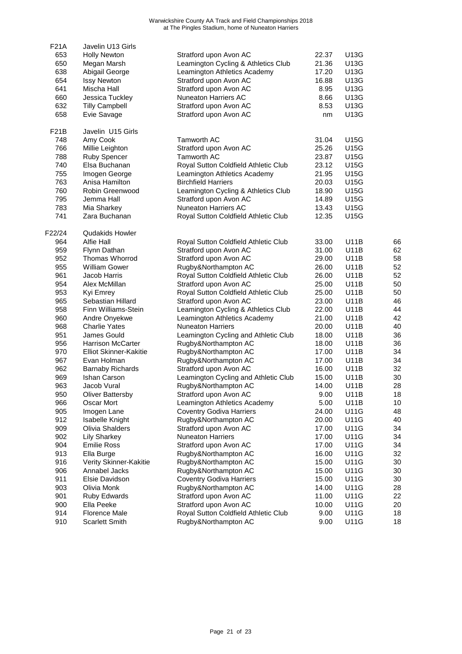| <b>F21A</b> | Javelin U13 Girls       |                                      |       |             |    |
|-------------|-------------------------|--------------------------------------|-------|-------------|----|
| 653         | <b>Holly Newton</b>     | Stratford upon Avon AC               | 22.37 | U13G        |    |
| 650         | Megan Marsh             | Leamington Cycling & Athletics Club  | 21.36 | U13G        |    |
| 638         | Abigail George          | Leamington Athletics Academy         | 17.20 | U13G        |    |
| 654         | <b>Issy Newton</b>      | Stratford upon Avon AC               | 16.88 | U13G        |    |
| 641         | Mischa Hall             | Stratford upon Avon AC               | 8.95  | U13G        |    |
| 660         | Jessica Tuckley         | <b>Nuneaton Harriers AC</b>          | 8.66  | U13G        |    |
| 632         | <b>Tilly Campbell</b>   | Stratford upon Avon AC               | 8.53  | U13G        |    |
| 658         | Evie Savage             | Stratford upon Avon AC               | nm    | U13G        |    |
| F21B        | Javelin U15 Girls       |                                      |       |             |    |
| 748         | Amy Cook                | <b>Tamworth AC</b>                   | 31.04 | <b>U15G</b> |    |
| 766         | Millie Leighton         | Stratford upon Avon AC               | 25.26 | U15G        |    |
| 788         | <b>Ruby Spencer</b>     | Tamworth AC                          | 23.87 | <b>U15G</b> |    |
| 740         | Elsa Buchanan           | Royal Sutton Coldfield Athletic Club | 23.12 | U15G        |    |
| 755         | Imogen George           | Leamington Athletics Academy         | 21.95 | U15G        |    |
| 763         | Anisa Hamilton          | <b>Birchfield Harriers</b>           | 20.03 | <b>U15G</b> |    |
| 760         | Robin Greenwood         | Leamington Cycling & Athletics Club  | 18.90 | <b>U15G</b> |    |
| 795         | Jemma Hall              | Stratford upon Avon AC               | 14.89 | U15G        |    |
| 783         | Mia Sharkey             | Nuneaton Harriers AC                 | 13.43 | <b>U15G</b> |    |
| 741         | Zara Buchanan           | Royal Sutton Coldfield Athletic Club | 12.35 | U15G        |    |
| F22/24      | <b>Qudakids Howler</b>  |                                      |       |             |    |
| 964         | Alfie Hall              | Royal Sutton Coldfield Athletic Club | 33.00 | <b>U11B</b> | 66 |
| 959         | Flynn Dathan            | Stratford upon Avon AC               | 31.00 | <b>U11B</b> | 62 |
| 952         | Thomas Whorrod          | Stratford upon Avon AC               | 29.00 | U11B        | 58 |
| 955         | <b>William Gower</b>    | Rugby&Northampton AC                 | 26.00 | U11B        | 52 |
| 961         | Jacob Harris            | Royal Sutton Coldfield Athletic Club | 26.00 | U11B        | 52 |
| 954         | Alex McMillan           | Stratford upon Avon AC               | 25.00 | <b>U11B</b> | 50 |
| 953         | Kyi Emrey               | Royal Sutton Coldfield Athletic Club | 25.00 | U11B        | 50 |
| 965         | Sebastian Hillard       | Stratford upon Avon AC               | 23.00 | U11B        | 46 |
| 958         | Finn Williams-Stein     | Leamington Cycling & Athletics Club  | 22.00 | U11B        | 44 |
| 960         | Andre Onyekwe           | Leamington Athletics Academy         | 21.00 | U11B        | 42 |
| 968         | <b>Charlie Yates</b>    | <b>Nuneaton Harriers</b>             | 20.00 | U11B        | 40 |
| 951         | James Gould             | Leamington Cycling and Athletic Club | 18.00 | <b>U11B</b> | 36 |
| 956         | Harrison McCarter       | Rugby&Northampton AC                 | 18.00 | <b>U11B</b> | 36 |
| 970         | Elliot Skinner-Kakitie  | Rugby&Northampton AC                 | 17.00 | U11B        | 34 |
| 967         | Evan Holman             | Rugby&Northampton AC                 | 17.00 | <b>U11B</b> | 34 |
| 962         | <b>Barnaby Richards</b> | Stratford upon Avon AC               | 16.00 | <b>U11B</b> | 32 |
| 969         | Ishan Carson            | Leamington Cycling and Athletic Club | 15.00 | U11B        | 30 |
| 963         | Jacob Vural             | Rugby&Northampton AC                 | 14.00 | <b>U11B</b> | 28 |
| 950         | <b>Oliver Battersby</b> | Stratford upon Avon AC               | 9.00  | <b>U11B</b> | 18 |
| 966         | Oscar Mort              | Leamington Athletics Academy         | 5.00  | U11B        | 10 |
| 905         | Imogen Lane             | <b>Coventry Godiva Harriers</b>      | 24.00 | <b>U11G</b> | 48 |
| 912         | Isabelle Knight         | Rugby&Northampton AC                 | 20.00 | U11G        | 40 |
| 909         | Olivia Shalders         | Stratford upon Avon AC               | 17.00 | <b>U11G</b> | 34 |
| 902         | <b>Lily Sharkey</b>     | <b>Nuneaton Harriers</b>             | 17.00 | <b>U11G</b> | 34 |
| 904         | <b>Emilie Ross</b>      | Stratford upon Avon AC               | 17.00 | <b>U11G</b> | 34 |
| 913         | Ella Burge              | Rugby&Northampton AC                 | 16.00 | <b>U11G</b> | 32 |
| 916         | Verity Skinner-Kakitie  | Rugby&Northampton AC                 | 15.00 | <b>U11G</b> | 30 |
| 906         | Annabel Jacks           | Rugby&Northampton AC                 | 15.00 | <b>U11G</b> | 30 |
| 911         | Elsie Davidson          | <b>Coventry Godiva Harriers</b>      | 15.00 | <b>U11G</b> | 30 |
| 903         | Olivia Monk             | Rugby&Northampton AC                 | 14.00 | <b>U11G</b> | 28 |
| 901         | <b>Ruby Edwards</b>     | Stratford upon Avon AC               | 11.00 | <b>U11G</b> | 22 |
| 900         | Ella Peeke              | Stratford upon Avon AC               | 10.00 | <b>U11G</b> | 20 |
| 914         | <b>Florence Male</b>    | Royal Sutton Coldfield Athletic Club | 9.00  | <b>U11G</b> | 18 |
| 910         | Scarlett Smith          | Rugby&Northampton AC                 | 9.00  | <b>U11G</b> | 18 |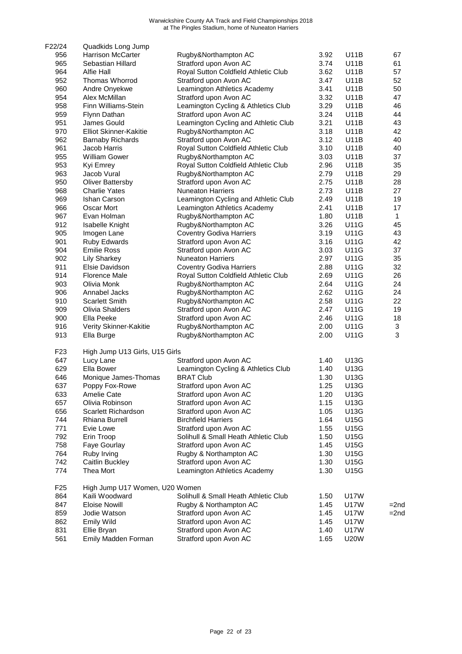| F22/24          | Quadkids Long Jump             |                                      |      |             |              |
|-----------------|--------------------------------|--------------------------------------|------|-------------|--------------|
| 956             | <b>Harrison McCarter</b>       | Rugby&Northampton AC                 | 3.92 | <b>U11B</b> | 67           |
| 965             | Sebastian Hillard              | Stratford upon Avon AC               | 3.74 | U11B        | 61           |
| 964             | <b>Alfie Hall</b>              | Royal Sutton Coldfield Athletic Club | 3.62 | U11B        | 57           |
| 952             | Thomas Whorrod                 | Stratford upon Avon AC               | 3.47 | U11B        | 52           |
| 960             | Andre Onyekwe                  | Leamington Athletics Academy         | 3.41 | <b>U11B</b> | 50           |
| 954             | Alex McMillan                  | Stratford upon Avon AC               | 3.32 | <b>U11B</b> | 47           |
| 958             | Finn Williams-Stein            | Leamington Cycling & Athletics Club  | 3.29 | U11B        | 46           |
| 959             | Flynn Dathan                   | Stratford upon Avon AC               | 3.24 | U11B        | 44           |
| 951             | James Gould                    | Leamington Cycling and Athletic Club | 3.21 | U11B        | 43           |
| 970             | <b>Elliot Skinner-Kakitie</b>  | Rugby&Northampton AC                 | 3.18 | <b>U11B</b> | 42           |
| 962             | <b>Barnaby Richards</b>        | Stratford upon Avon AC               | 3.12 | <b>U11B</b> | 40           |
| 961             | Jacob Harris                   | Royal Sutton Coldfield Athletic Club | 3.10 | U11B        | 40           |
| 955             | <b>William Gower</b>           | Rugby&Northampton AC                 | 3.03 | U11B        | 37           |
| 953             | Kyi Emrey                      | Royal Sutton Coldfield Athletic Club | 2.96 | U11B        | 35           |
| 963             | Jacob Vural                    | Rugby&Northampton AC                 | 2.79 | U11B        | 29           |
| 950             | <b>Oliver Battersby</b>        | Stratford upon Avon AC               | 2.75 | <b>U11B</b> | 28           |
| 968             | <b>Charlie Yates</b>           | <b>Nuneaton Harriers</b>             | 2.73 | <b>U11B</b> | 27           |
| 969             | Ishan Carson                   | Leamington Cycling and Athletic Club | 2.49 | <b>U11B</b> | 19           |
| 966             | Oscar Mort                     | Leamington Athletics Academy         | 2.41 | <b>U11B</b> | 17           |
| 967             | Evan Holman                    | Rugby&Northampton AC                 | 1.80 | U11B        | $\mathbf{1}$ |
| 912             | Isabelle Knight                | Rugby&Northampton AC                 | 3.26 | <b>U11G</b> | 45           |
| 905             | Imogen Lane                    | <b>Coventry Godiva Harriers</b>      | 3.19 | <b>U11G</b> | 43           |
| 901             | Ruby Edwards                   | Stratford upon Avon AC               | 3.16 | <b>U11G</b> | 42           |
| 904             | <b>Emilie Ross</b>             | Stratford upon Avon AC               | 3.03 | <b>U11G</b> | 37           |
| 902             | <b>Lily Sharkey</b>            | <b>Nuneaton Harriers</b>             | 2.97 | U11G        | 35           |
| 911             | Elsie Davidson                 | <b>Coventry Godiva Harriers</b>      | 2.88 | <b>U11G</b> | 32           |
| 914             | <b>Florence Male</b>           | Royal Sutton Coldfield Athletic Club | 2.69 | <b>U11G</b> | 26           |
| 903             | Olivia Monk                    | Rugby&Northampton AC                 | 2.64 | <b>U11G</b> | 24           |
| 906             | Annabel Jacks                  | Rugby&Northampton AC                 | 2.62 | <b>U11G</b> | 24           |
| 910             | <b>Scarlett Smith</b>          | Rugby&Northampton AC                 | 2.58 | U11G        | 22           |
| 909             | Olivia Shalders                | Stratford upon Avon AC               | 2.47 | U11G        | 19           |
| 900             | Ella Peeke                     | Stratford upon Avon AC               | 2.46 | <b>U11G</b> | 18           |
| 916             | Verity Skinner-Kakitie         | Rugby&Northampton AC                 | 2.00 | U11G        | $\mathbf{3}$ |
| 913             | Ella Burge                     | Rugby&Northampton AC                 | 2.00 | U11G        | 3            |
| F <sub>23</sub> | High Jump U13 Girls, U15 Girls |                                      |      |             |              |
| 647             | Lucy Lane                      | Stratford upon Avon AC               | 1.40 | U13G        |              |
| 629             | Ella Bower                     | Leamington Cycling & Athletics Club  | 1.40 | U13G        |              |
| 646             | Monique James-Thomas           | <b>BRAT Club</b>                     | 1.30 | U13G        |              |
| 637             | Poppy Fox-Rowe                 | Stratford upon Avon AC               | 1.25 | U13G        |              |
| 633             | Amelie Cate                    | Stratford upon Avon AC               | 1.20 | U13G        |              |
| 657             | Olivia Robinson                | Stratford upon Avon AC               | 1.15 | U13G        |              |
| 656             | Scarlett Richardson            | Stratford upon Avon AC               | 1.05 | U13G        |              |
| 744             | Rhiana Burrell                 | <b>Birchfield Harriers</b>           | 1.64 | U15G        |              |
| 771             | Evie Lowe                      | Stratford upon Avon AC               | 1.55 | U15G        |              |
| 792             | Erin Troop                     | Solihull & Small Heath Athletic Club | 1.50 | <b>U15G</b> |              |
| 758             | Faye Gourlay                   | Stratford upon Avon AC               | 1.45 | U15G        |              |
| 764             | Ruby Irving                    | Rugby & Northampton AC               | 1.30 | U15G        |              |
| 742             | Caitlin Buckley                | Stratford upon Avon AC               | 1.30 | U15G        |              |
| 774             | Thea Mort                      | Leamington Athletics Academy         | 1.30 | U15G        |              |
| F <sub>25</sub> | High Jump U17 Women, U20 Women |                                      |      |             |              |
| 864             | Kaili Woodward                 | Solihull & Small Heath Athletic Club | 1.50 | U17W        |              |
| 847             | <b>Eloise Nowill</b>           | Rugby & Northampton AC               | 1.45 | U17W        | $=$ 2nd      |
| 859             | Jodie Watson                   | Stratford upon Avon AC               | 1.45 | U17W        | $=2nd$       |
| 862             | <b>Emily Wild</b>              | Stratford upon Avon AC               | 1.45 | U17W        |              |
| 831             | Ellie Bryan                    | Stratford upon Avon AC               | 1.40 | U17W        |              |
| 561             | Emily Madden Forman            | Stratford upon Avon AC               | 1.65 | <b>U20W</b> |              |